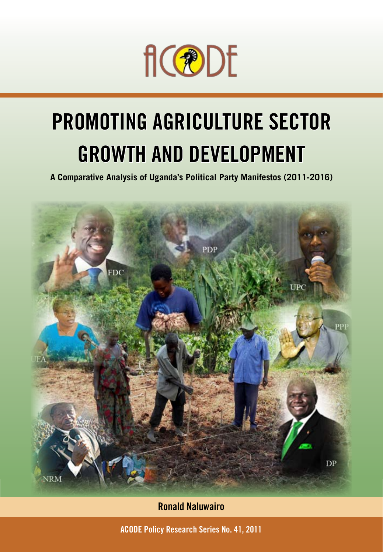

# **PROMOTING AGRICULTURE SECTOR GROWTH AND DEVELOPMENT**

**A Comparative Analysis of Uganda's Political Party Manifestos (2011-2016)**



**Ronald Naluwairo**

**ACODE Policy Research Series No. 41, 2011**

1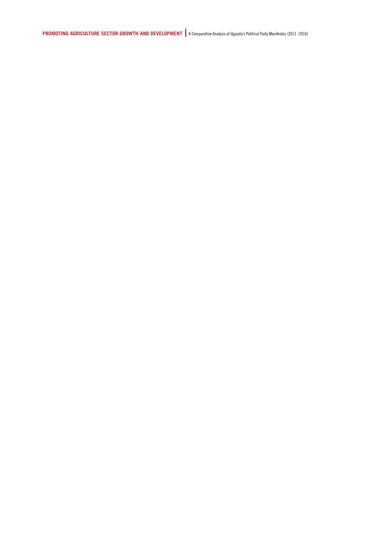**PROMOTING AGRICULTURE SECTOR GROWTH AND DEVELOPMENT** A Comparative Analysis of Uganda's Political Party Manifestos (2011 -2016)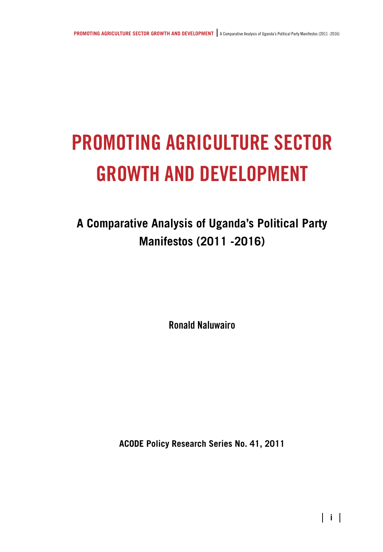# **PROMOTING AGRICULTURE SECTOR GROWTH AND DEVELOPMENT**

### **A Comparative Analysis of Uganda's Political Party Manifestos (2011 -2016)**

**Ronald Naluwairo**

**ACODE Policy Research Series No. 41, 2011**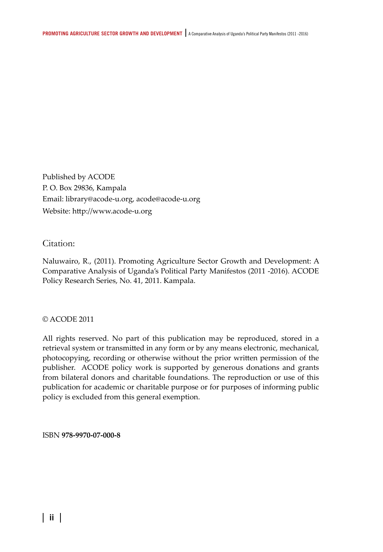Published by ACODE P. O. Box 29836, Kampala Email: library@acode-u.org, acode@acode-u.org Website: http://www.acode-u.org

#### Citation:

Naluwairo, R., (2011). Promoting Agriculture Sector Growth and Development: A Comparative Analysis of Uganda's Political Party Manifestos (2011 -2016). ACODE Policy Research Series, No. 41, 2011. Kampala.

#### © ACODE 2011

All rights reserved. No part of this publication may be reproduced, stored in a retrieval system or transmitted in any form or by any means electronic, mechanical, photocopying, recording or otherwise without the prior written permission of the publisher. ACODE policy work is supported by generous donations and grants from bilateral donors and charitable foundations. The reproduction or use of this publication for academic or charitable purpose or for purposes of informing public policy is excluded from this general exemption.

ISBN **978-9970-07-000-8**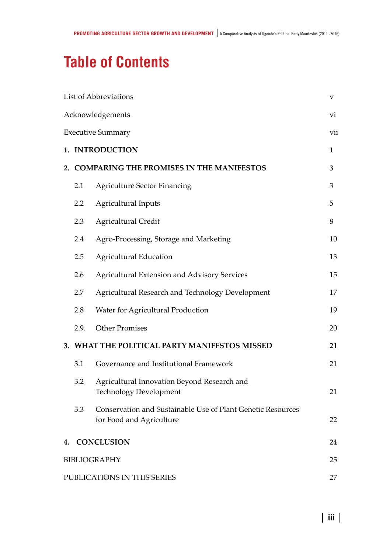# Table of Contents

|                                                  |                      | List of Abbreviations                                                                   | $\boldsymbol{\mathrm{V}}$ |
|--------------------------------------------------|----------------------|-----------------------------------------------------------------------------------------|---------------------------|
|                                                  |                      | Acknowledgements                                                                        | vi                        |
|                                                  |                      | <b>Executive Summary</b>                                                                | vii                       |
|                                                  | 1. INTRODUCTION<br>1 |                                                                                         |                           |
| 2.                                               |                      | <b>COMPARING THE PROMISES IN THE MANIFESTOS</b>                                         | 3                         |
|                                                  | 2.1                  | <b>Agriculture Sector Financing</b>                                                     | 3                         |
|                                                  | 2.2                  | Agricultural Inputs                                                                     | 5                         |
|                                                  | 2.3                  | <b>Agricultural Credit</b>                                                              | 8                         |
|                                                  | 2.4                  | Agro-Processing, Storage and Marketing                                                  | 10                        |
|                                                  | 2.5                  | Agricultural Education                                                                  | 13                        |
|                                                  | 2.6                  | Agricultural Extension and Advisory Services                                            | 15                        |
|                                                  | 2.7                  | Agricultural Research and Technology Development                                        | 17                        |
|                                                  | 2.8                  | Water for Agricultural Production                                                       | 19                        |
|                                                  | 2.9.                 | <b>Other Promises</b>                                                                   | 20                        |
| WHAT THE POLITICAL PARTY MANIFESTOS MISSED<br>3. |                      |                                                                                         | 21                        |
|                                                  | 3.1                  | Governance and Institutional Framework                                                  | 21                        |
|                                                  | 3.2                  | Agricultural Innovation Beyond Research and<br><b>Technology Development</b>            | 21                        |
|                                                  | 3.3                  | Conservation and Sustainable Use of Plant Genetic Resources<br>for Food and Agriculture | 22                        |
| 4.                                               |                      | <b>CONCLUSION</b>                                                                       | 24                        |
|                                                  |                      | BIBLIOGRAPHY                                                                            | 25                        |
|                                                  |                      | PUBLICATIONS IN THIS SERIES                                                             | 27                        |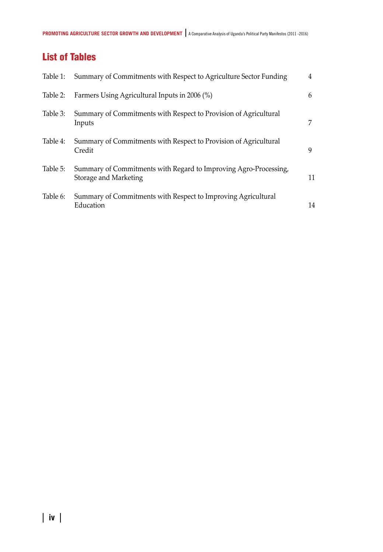### List of Tables

| Table 1: | Summary of Commitments with Respect to Agriculture Sector Funding                         | 4  |
|----------|-------------------------------------------------------------------------------------------|----|
| Table 2: | Farmers Using Agricultural Inputs in 2006 (%)                                             | 6  |
| Table 3: | Summary of Commitments with Respect to Provision of Agricultural<br>Inputs                | 7  |
| Table 4: | Summary of Commitments with Respect to Provision of Agricultural<br>Credit                | 9  |
| Table 5: | Summary of Commitments with Regard to Improving Agro-Processing,<br>Storage and Marketing | 11 |
| Table 6: | Summary of Commitments with Respect to Improving Agricultural<br>Education                | 14 |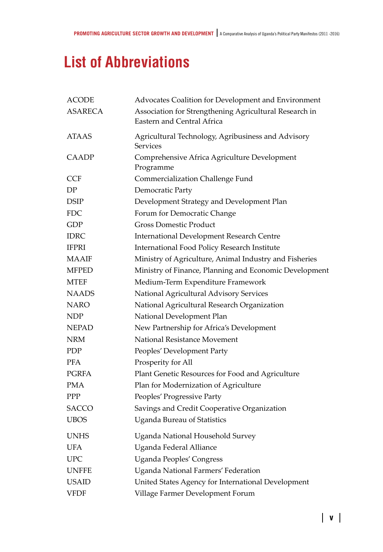# List of Abbreviations

| <b>ACODE</b>   | Advocates Coalition for Development and Environment                                  |
|----------------|--------------------------------------------------------------------------------------|
| <b>ASARECA</b> | Association for Strengthening Agricultural Research in<br>Eastern and Central Africa |
| <b>ATAAS</b>   | Agricultural Technology, Agribusiness and Advisory<br><b>Services</b>                |
| <b>CAADP</b>   | Comprehensive Africa Agriculture Development<br>Programme                            |
| <b>CCF</b>     | Commercialization Challenge Fund                                                     |
| DP             | Democratic Party                                                                     |
| DSIP           | Development Strategy and Development Plan                                            |
| <b>FDC</b>     | Forum for Democratic Change                                                          |
| GDP            | <b>Gross Domestic Product</b>                                                        |
| <b>IDRC</b>    | <b>International Development Research Centre</b>                                     |
| <b>IFPRI</b>   | International Food Policy Research Institute                                         |
| <b>MAAIF</b>   | Ministry of Agriculture, Animal Industry and Fisheries                               |
| <b>MFPED</b>   | Ministry of Finance, Planning and Economic Development                               |
| <b>MTEF</b>    | Medium-Term Expenditure Framework                                                    |
| <b>NAADS</b>   | National Agricultural Advisory Services                                              |
| <b>NARO</b>    | National Agricultural Research Organization                                          |
| <b>NDP</b>     | National Development Plan                                                            |
| <b>NEPAD</b>   | New Partnership for Africa's Development                                             |
| <b>NRM</b>     | National Resistance Movement                                                         |
| PDP            | Peoples' Development Party                                                           |
| <b>PFA</b>     | Prosperity for All                                                                   |
| <b>PGRFA</b>   | Plant Genetic Resources for Food and Agriculture                                     |
| <b>PMA</b>     | Plan for Modernization of Agriculture                                                |
| <b>PPP</b>     | Peoples' Progressive Party                                                           |
| SACCO          | Savings and Credit Cooperative Organization                                          |
| <b>UBOS</b>    | <b>Uganda Bureau of Statistics</b>                                                   |
| <b>UNHS</b>    | Uganda National Household Survey                                                     |
| <b>UFA</b>     | Uganda Federal Alliance                                                              |
| <b>UPC</b>     | <b>Uganda Peoples' Congress</b>                                                      |
| <b>UNFFE</b>   | Uganda National Farmers' Federation                                                  |
| <b>USAID</b>   | United States Agency for International Development                                   |
| <b>VFDF</b>    | Village Farmer Development Forum                                                     |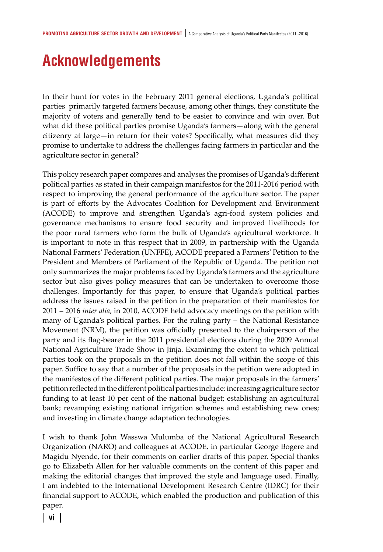## Acknowledgements

In their hunt for votes in the February 2011 general elections, Uganda's political parties primarily targeted farmers because, among other things, they constitute the majority of voters and generally tend to be easier to convince and win over. But what did these political parties promise Uganda's farmers—along with the general citizenry at large—in return for their votes? Specifically, what measures did they promise to undertake to address the challenges facing farmers in particular and the agriculture sector in general?

This policy research paper compares and analyses the promises of Uganda's different political parties as stated in their campaign manifestos for the 2011-2016 period with respect to improving the general performance of the agriculture sector. The paper is part of efforts by the Advocates Coalition for Development and Environment (ACODE) to improve and strengthen Uganda's agri-food system policies and governance mechanisms to ensure food security and improved livelihoods for the poor rural farmers who form the bulk of Uganda's agricultural workforce. It is important to note in this respect that in 2009, in partnership with the Uganda National Farmers' Federation (UNFFE), ACODE prepared a Farmers' Petition to the President and Members of Parliament of the Republic of Uganda. The petition not only summarizes the major problems faced by Uganda's farmers and the agriculture sector but also gives policy measures that can be undertaken to overcome those challenges. Importantly for this paper, to ensure that Uganda's political parties address the issues raised in the petition in the preparation of their manifestos for 2011 – 2016 *inter alia*, in 2010, ACODE held advocacy meetings on the petition with many of Uganda's political parties. For the ruling party – the National Resistance Movement (NRM), the petition was officially presented to the chairperson of the party and its flag-bearer in the 2011 presidential elections during the 2009 Annual National Agriculture Trade Show in Jinja. Examining the extent to which political parties took on the proposals in the petition does not fall within the scope of this paper. Suffice to say that a number of the proposals in the petition were adopted in the manifestos of the different political parties. The major proposals in the farmers' petition reflected in the different political parties include: increasing agriculture sector funding to at least 10 per cent of the national budget; establishing an agricultural bank; revamping existing national irrigation schemes and establishing new ones; and investing in climate change adaptation technologies.

I wish to thank John Wasswa Mulumba of the National Agricultural Research Organization (NARO) and colleagues at ACODE, in particular George Bogere and Magidu Nyende, for their comments on earlier drafts of this paper. Special thanks go to Elizabeth Allen for her valuable comments on the content of this paper and making the editorial changes that improved the style and language used. Finally, I am indebted to the International Development Research Centre (IDRC) for their financial support to ACODE, which enabled the production and publication of this paper.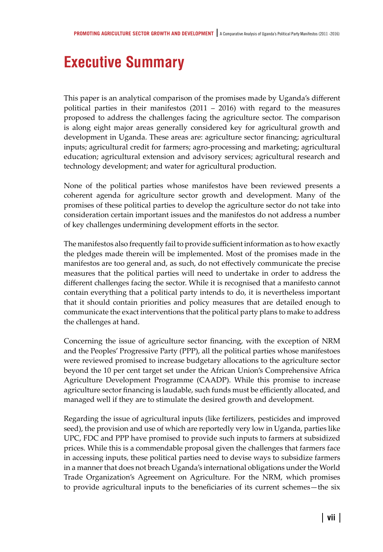## Executive Summary

This paper is an analytical comparison of the promises made by Uganda's different political parties in their manifestos (2011 – 2016) with regard to the measures proposed to address the challenges facing the agriculture sector. The comparison is along eight major areas generally considered key for agricultural growth and development in Uganda. These areas are: agriculture sector financing; agricultural inputs; agricultural credit for farmers; agro-processing and marketing; agricultural education; agricultural extension and advisory services; agricultural research and technology development; and water for agricultural production.

None of the political parties whose manifestos have been reviewed presents a coherent agenda for agriculture sector growth and development. Many of the promises of these political parties to develop the agriculture sector do not take into consideration certain important issues and the manifestos do not address a number of key challenges undermining development efforts in the sector.

The manifestos also frequently fail to provide sufficient information as to how exactly the pledges made therein will be implemented. Most of the promises made in the manifestos are too general and, as such, do not effectively communicate the precise measures that the political parties will need to undertake in order to address the different challenges facing the sector. While it is recognised that a manifesto cannot contain everything that a political party intends to do, it is nevertheless important that it should contain priorities and policy measures that are detailed enough to communicate the exact interventions that the political party plans to make to address the challenges at hand.

Concerning the issue of agriculture sector financing, with the exception of NRM and the Peoples' Progressive Party (PPP), all the political parties whose manifestoes were reviewed promised to increase budgetary allocations to the agriculture sector beyond the 10 per cent target set under the African Union's Comprehensive Africa Agriculture Development Programme (CAADP). While this promise to increase agriculture sector financing is laudable, such funds must be efficiently allocated, and managed well if they are to stimulate the desired growth and development.

Regarding the issue of agricultural inputs (like fertilizers, pesticides and improved seed), the provision and use of which are reportedly very low in Uganda, parties like UPC, FDC and PPP have promised to provide such inputs to farmers at subsidized prices. While this is a commendable proposal given the challenges that farmers face in accessing inputs, these political parties need to devise ways to subsidize farmers in a manner that does not breach Uganda's international obligations under the World Trade Organization's Agreement on Agriculture. For the NRM, which promises to provide agricultural inputs to the beneficiaries of its current schemes—the six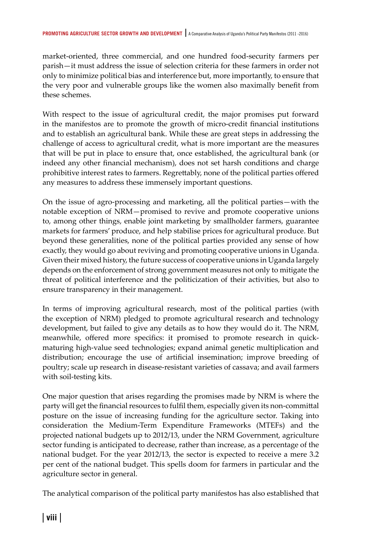market-oriented, three commercial, and one hundred food-security farmers per parish—it must address the issue of selection criteria for these farmers in order not only to minimize political bias and interference but, more importantly, to ensure that the very poor and vulnerable groups like the women also maximally benefit from these schemes.

With respect to the issue of agricultural credit, the major promises put forward in the manifestos are to promote the growth of micro-credit financial institutions and to establish an agricultural bank. While these are great steps in addressing the challenge of access to agricultural credit, what is more important are the measures that will be put in place to ensure that, once established, the agricultural bank (or indeed any other financial mechanism), does not set harsh conditions and charge prohibitive interest rates to farmers. Regrettably, none of the political parties offered any measures to address these immensely important questions.

On the issue of agro-processing and marketing, all the political parties—with the notable exception of NRM—promised to revive and promote cooperative unions to, among other things, enable joint marketing by smallholder farmers, guarantee markets for farmers' produce, and help stabilise prices for agricultural produce. But beyond these generalities, none of the political parties provided any sense of how exactly, they would go about reviving and promoting cooperative unions in Uganda. Given their mixed history, the future success of cooperative unions in Uganda largely depends on the enforcement of strong government measures not only to mitigate the threat of political interference and the politicization of their activities, but also to ensure transparency in their management.

In terms of improving agricultural research, most of the political parties (with the exception of NRM) pledged to promote agricultural research and technology development, but failed to give any details as to how they would do it. The NRM, meanwhile, offered more specifics: it promised to promote research in quickmaturing high-value seed technologies; expand animal genetic multiplication and distribution; encourage the use of artificial insemination; improve breeding of poultry; scale up research in disease-resistant varieties of cassava; and avail farmers with soil-testing kits.

One major question that arises regarding the promises made by NRM is where the party will get the financial resources to fulfil them, especially given its non-committal posture on the issue of increasing funding for the agriculture sector. Taking into consideration the Medium-Term Expenditure Frameworks (MTEFs) and the projected national budgets up to 2012/13, under the NRM Government, agriculture sector funding is anticipated to decrease, rather than increase, as a percentage of the national budget. For the year 2012/13, the sector is expected to receive a mere 3.2 per cent of the national budget. This spells doom for farmers in particular and the agriculture sector in general.

The analytical comparison of the political party manifestos has also established that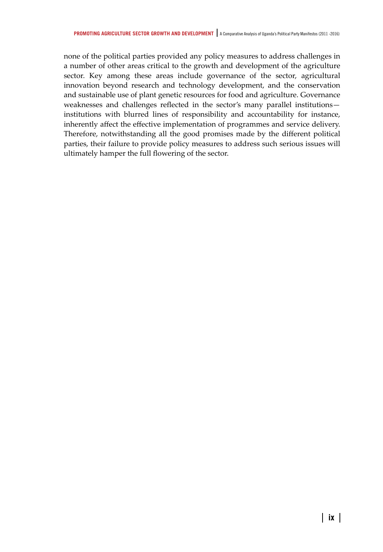none of the political parties provided any policy measures to address challenges in a number of other areas critical to the growth and development of the agriculture sector. Key among these areas include governance of the sector, agricultural innovation beyond research and technology development, and the conservation and sustainable use of plant genetic resources for food and agriculture. Governance weaknesses and challenges reflected in the sector's many parallel institutions institutions with blurred lines of responsibility and accountability for instance, inherently affect the effective implementation of programmes and service delivery. Therefore, notwithstanding all the good promises made by the different political parties, their failure to provide policy measures to address such serious issues will ultimately hamper the full flowering of the sector.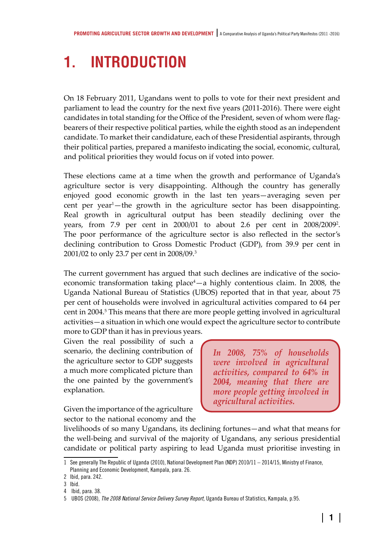# 1. INTRODUCTION

On 18 February 2011, Ugandans went to polls to vote for their next president and parliament to lead the country for the next five years (2011-2016). There were eight candidates in total standing for the Office of the President, seven of whom were flagbearers of their respective political parties, while the eighth stood as an independent candidate. To market their candidature, each of these Presidential aspirants, through their political parties, prepared a manifesto indicating the social, economic, cultural, and political priorities they would focus on if voted into power.

These elections came at a time when the growth and performance of Uganda's agriculture sector is very disappointing. Although the country has generally enjoyed good economic growth in the last ten years—averaging seven per cent per year $-$ the growth in the agriculture sector has been disappointing. Real growth in agricultural output has been steadily declining over the years, from 7.9 per cent in 2000/01 to about 2.6 per cent in 2008/2009<sup>2</sup> . The poor performance of the agriculture sector is also reflected in the sector's declining contribution to Gross Domestic Product (GDP), from 39.9 per cent in 2001/02 to only 23.7 per cent in 2008/09.<sup>3</sup>

The current government has argued that such declines are indicative of the socioeconomic transformation taking place4 —a highly contentious claim. In 2008, the Uganda National Bureau of Statistics (UBOS) reported that in that year, about 75 per cent of households were involved in agricultural activities compared to 64 per cent in 2004.<sup>5</sup> This means that there are more people getting involved in agricultural activities—a situation in which one would expect the agriculture sector to contribute more to GDP than it has in previous years.

Given the real possibility of such a scenario, the declining contribution of the agriculture sector to GDP suggests a much more complicated picture than the one painted by the government's explanation.

*In 2008, 75% of households were involved in agricultural activities, compared to 64% in 2004, meaning that there are more people getting involved in agricultural activities.*

Given the importance of the agriculture sector to the national economy and the

livelihoods of so many Ugandans, its declining fortunes—and what that means for the well-being and survival of the majority of Ugandans, any serious presidential candidate or political party aspiring to lead Uganda must prioritise investing in

<sup>1</sup> See generally The Republic of Uganda (2010), National Development Plan (NDP) 2010/11 – 2014/15, Ministry of Finance,

Planning and Economic Development, Kampala, para. 26.

<sup>2</sup> Ibid, para. 242.

<sup>3</sup> Ibid.

<sup>4</sup> Ibid, para. 38.

<sup>5</sup> UBOS (2008), *The 2008 National Service Delivery Survey Report,* Uganda Bureau of Statistics, Kampala, p.95.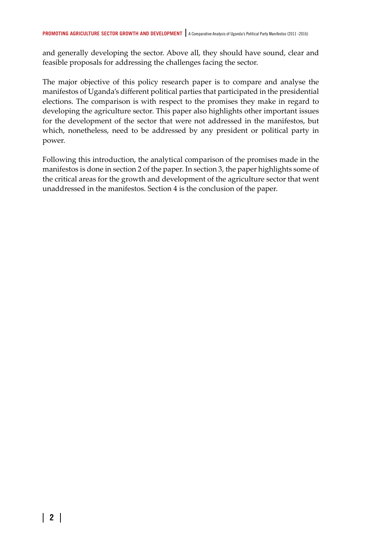and generally developing the sector. Above all, they should have sound, clear and feasible proposals for addressing the challenges facing the sector.

The major objective of this policy research paper is to compare and analyse the manifestos of Uganda's different political parties that participated in the presidential elections. The comparison is with respect to the promises they make in regard to developing the agriculture sector. This paper also highlights other important issues for the development of the sector that were not addressed in the manifestos, but which, nonetheless, need to be addressed by any president or political party in power.

Following this introduction, the analytical comparison of the promises made in the manifestos is done in section 2 of the paper. In section 3, the paper highlights some of the critical areas for the growth and development of the agriculture sector that went unaddressed in the manifestos. Section 4 is the conclusion of the paper.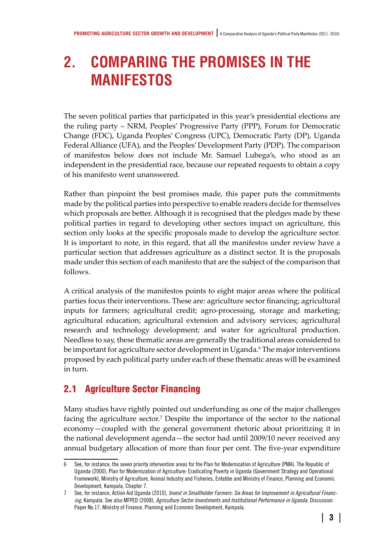# 2. COMPARING THE PROMISES IN THE MANIFESTOS

The seven political parties that participated in this year's presidential elections are the ruling party – NRM, Peoples' Progressive Party (PPP), Forum for Democratic Change (FDC), Uganda Peoples' Congress (UPC), Democratic Party (DP), Uganda Federal Alliance (UFA), and the Peoples' Development Party (PDP). The comparison of manifestos below does not include Mr. Samuel Lubega's, who stood as an independent in the presidential race, because our repeated requests to obtain a copy of his manifesto went unanswered.

Rather than pinpoint the best promises made, this paper puts the commitments made by the political parties into perspective to enable readers decide for themselves which proposals are better. Although it is recognised that the pledges made by these political parties in regard to developing other sectors impact on agriculture, this section only looks at the specific proposals made to develop the agriculture sector. It is important to note, in this regard, that all the manifestos under review have a particular section that addresses agriculture as a distinct sector. It is the proposals made under this section of each manifesto that are the subject of the comparison that follows.

A critical analysis of the manifestos points to eight major areas where the political parties focus their interventions. These are: agriculture sector financing; agricultural inputs for farmers; agricultural credit; agro-processing, storage and marketing; agricultural education; agricultural extension and advisory services; agricultural research and technology development; and water for agricultural production. Needless to say, these thematic areas are generally the traditional areas considered to be important for agriculture sector development in Uganda.<sup>6</sup> The major interventions proposed by each political party under each of these thematic areas will be examined in turn.

### 2.1 Agriculture Sector Financing

Many studies have rightly pointed out underfunding as one of the major challenges facing the agriculture sector.<sup>7</sup> Despite the importance of the sector to the national economy—coupled with the general government rhetoric about prioritizing it in the national development agenda—the sector had until 2009/10 never received any annual budgetary allocation of more than four per cent. The five-year expenditure

<sup>6</sup> See, for instance, the seven priority intervention areas for the Plan for Modernization of Agriculture (PMA). The Republic of Uganda (2000), Plan for Modernization of Agriculture: Eradicating Poverty in Uganda (Government Strategy and Operational Framework), Ministry of Agriculture, Animal Industry and Fisheries, Entebbe and Ministry of Finance, Planning and Economic Development, Kampala, Chapter 7.

<sup>7</sup> See, for instance, Action Aid Uganda (2010), *Invest in Smallholder Farmers: Six Areas for Improvement in Agricultural Financing*, Kampala. See also MFPED (2008), *Agriculture Sector Investments and Institutional Performance in Uganda*. Discussion Paper No.17, Ministry of Finance, Planning and Economic Development, Kampala.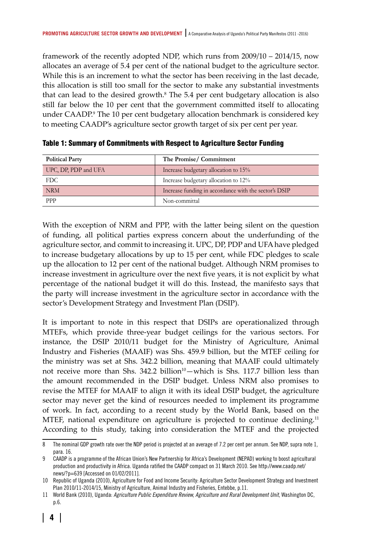framework of the recently adopted NDP, which runs from 2009/10 – 2014/15, now allocates an average of 5.4 per cent of the national budget to the agriculture sector. While this is an increment to what the sector has been receiving in the last decade, this allocation is still too small for the sector to make any substantial investments that can lead to the desired growth.<sup>8</sup> The 5.4 per cent budgetary allocation is also still far below the 10 per cent that the government committed itself to allocating under CAADP.9 The 10 per cent budgetary allocation benchmark is considered key to meeting CAADP's agriculture sector growth target of six per cent per year.

| <b>Political Party</b> | The Promise/Commitment                                |
|------------------------|-------------------------------------------------------|
| UPC, DP, PDP and UFA   | Increase budgetary allocation to 15%                  |
| FDC.                   | Increase budgetary allocation to 12%                  |
| <b>NRM</b>             | Increase funding in accordance with the sector's DSIP |
| <b>PPP</b>             | Non-committal                                         |

Table 1: Summary of Commitments with Respect to Agriculture Sector Funding

With the exception of NRM and PPP, with the latter being silent on the question of funding, all political parties express concern about the underfunding of the agriculture sector, and commit to increasing it. UPC, DP, PDP and UFA have pledged to increase budgetary allocations by up to 15 per cent, while FDC pledges to scale up the allocation to 12 per cent of the national budget. Although NRM promises to increase investment in agriculture over the next five years, it is not explicit by what percentage of the national budget it will do this. Instead, the manifesto says that the party will increase investment in the agriculture sector in accordance with the sector's Development Strategy and Investment Plan (DSIP).

It is important to note in this respect that DSIPs are operationalized through MTEFs, which provide three-year budget ceilings for the various sectors. For instance, the DSIP 2010/11 budget for the Ministry of Agriculture, Animal Industry and Fisheries (MAAIF) was Shs. 459.9 billion, but the MTEF ceiling for the ministry was set at Shs. 342.2 billion, meaning that MAAIF could ultimately not receive more than Shs. 342.2 billion<sup>10</sup>—which is Shs. 117.7 billion less than the amount recommended in the DSIP budget. Unless NRM also promises to revise the MTEF for MAAIF to align it with its ideal DSIP budget, the agriculture sector may never get the kind of resources needed to implement its programme of work. In fact, according to a recent study by the World Bank, based on the MTEF, national expenditure on agriculture is projected to continue declining.<sup>11</sup> According to this study, taking into consideration the MTEF and the projected

<sup>8</sup> The nominal GDP growth rate over the NDP period is projected at an average of 7.2 per cent per annum. See NDP, supra note 1, para. 16.

<sup>9</sup> CAADP is a programme of the African Union's New Partnership for Africa's Development (NEPAD) working to boost agricultural production and productivity in Africa. Uganda ratified the CAADP compact on 31 March 2010. See http://www.caadp.net/ news/?p=639 [Accessed on 01/02/2011].

<sup>10</sup> Republic of Uganda (2010), Agriculture for Food and Income Security: Agriculture Sector Development Strategy and Investment Plan 2010/11-2014/15, Ministry of Agriculture, Animal Industry and Fisheries, Entebbe, p.11.

<sup>11</sup> World Bank (2010), Uganda: *Agriculture Public Expenditure Review, Agriculture and Rural Development Unit*, Washington DC, p.6.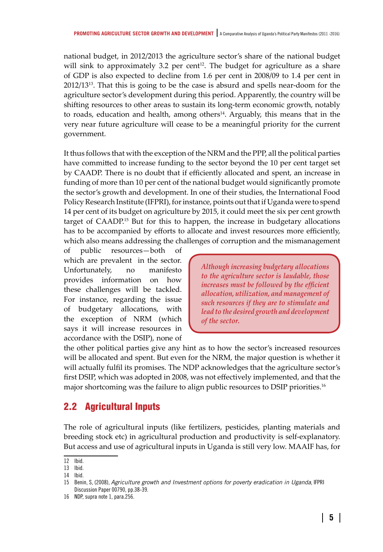national budget, in 2012/2013 the agriculture sector's share of the national budget will sink to approximately 3.2 per cent<sup>12</sup>. The budget for agriculture as a share of GDP is also expected to decline from 1.6 per cent in 2008/09 to 1.4 per cent in 2012/1313. That this is going to be the case is absurd and spells near-doom for the agriculture sector's development during this period. Apparently, the country will be shifting resources to other areas to sustain its long-term economic growth, notably to roads, education and health, among others<sup>14</sup>. Arguably, this means that in the very near future agriculture will cease to be a meaningful priority for the current government.

It thus follows that with the exception of the NRM and the PPP, all the political parties have committed to increase funding to the sector beyond the 10 per cent target set by CAADP. There is no doubt that if efficiently allocated and spent, an increase in funding of more than 10 per cent of the national budget would significantly promote the sector's growth and development. In one of their studies, the International Food Policy Research Institute (IFPRI), for instance, points out that if Uganda were to spend 14 per cent of its budget on agriculture by 2015, it could meet the six per cent growth target of CAADP.15 But for this to happen, the increase in budgetary allocations has to be accompanied by efforts to allocate and invest resources more efficiently, which also means addressing the challenges of corruption and the mismanagement

of public resources—both of which are prevalent in the sector. Unfortunately, no manifesto provides information on how these challenges will be tackled. For instance, regarding the issue of budgetary allocations, with the exception of NRM (which says it will increase resources in accordance with the DSIP), none of

*Although increasing budgetary allocations to the agriculture sector is laudable, those increases must be followed by the efficient allocation, utilization, and management of such resources if they are to stimulate and lead to the desired growth and development of the sector.*

the other political parties give any hint as to how the sector's increased resources will be allocated and spent. But even for the NRM, the major question is whether it will actually fulfil its promises. The NDP acknowledges that the agriculture sector's first DSIP, which was adopted in 2008, was not effectively implemented, and that the major shortcoming was the failure to align public resources to DSIP priorities.<sup>16</sup>

### 2.2 Agricultural Inputs

The role of agricultural inputs (like fertilizers, pesticides, planting materials and breeding stock etc) in agricultural production and productivity is self-explanatory. But access and use of agricultural inputs in Uganda is still very low. MAAIF has, for

<sup>12</sup> Ibid.

<sup>13</sup> Ibid.

<sup>14</sup> Ibid.

<sup>15</sup> Benin, S, (2008), *Agriculture growth and Investment options for poverty eradication in Uganda*, IFPRI Discussion Paper 00790, pp.38-39.

<sup>16</sup> NDP, supra note 1, para.256.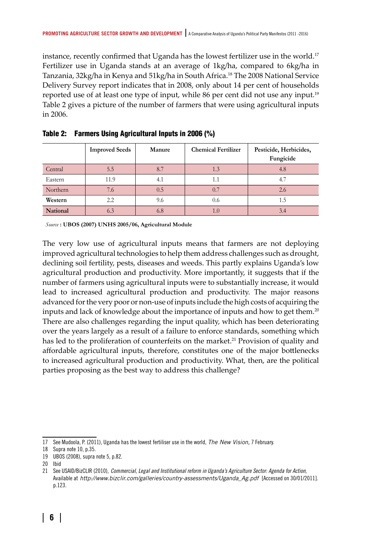instance, recently confirmed that Uganda has the lowest fertilizer use in the world.<sup>17</sup> Fertilizer use in Uganda stands at an average of 1kg/ha, compared to 6kg/ha in Tanzania, 32kg/ha in Kenya and 51kg/ha in South Africa.<sup>18</sup> The 2008 National Service Delivery Survey report indicates that in 2008, only about 14 per cent of households reported use of at least one type of input, while 86 per cent did not use any input.<sup>19</sup> Table 2 gives a picture of the number of farmers that were using agricultural inputs in 2006.

|          | <b>Improved Seeds</b> | Manure | <b>Chemical Fertilizer</b> | Pesticide, Herbicides,<br>Fungicide |
|----------|-----------------------|--------|----------------------------|-------------------------------------|
| Central  | 5.5                   | 8.7    | 1.3                        | 4.8                                 |
| Eastern  | 11.9                  | 4.1    | 1.1                        | -4.7                                |
| Northern | 7.6                   | 0.5    | 0.7                        | 2.6                                 |
| Western  | 2.2                   | 9.6    | 0.6                        | 1.5                                 |
| National | 6.3                   | 6.8    | 1.0                        | 3.4                                 |

Table 2: Farmers Using Agricultural Inputs in 2006 (%)

*Source* **: UBOS (2007) UNHS 2005/06, Agricultural Module**

The very low use of agricultural inputs means that farmers are not deploying improved agricultural technologies to help them address challenges such as drought, declining soil fertility, pests, diseases and weeds. This partly explains Uganda's low agricultural production and productivity. More importantly, it suggests that if the number of farmers using agricultural inputs were to substantially increase, it would lead to increased agricultural production and productivity. The major reasons advanced for the very poor or non-use of inputs include the high costs of acquiring the inputs and lack of knowledge about the importance of inputs and how to get them.<sup>20</sup> There are also challenges regarding the input quality, which has been deteriorating over the years largely as a result of a failure to enforce standards, something which has led to the proliferation of counterfeits on the market.<sup>21</sup> Provision of quality and affordable agricultural inputs, therefore, constitutes one of the major bottlenecks to increased agricultural production and productivity. What, then, are the political parties proposing as the best way to address this challenge?

<sup>17</sup> See Mudoola, P. (2011), Uganda has the lowest fertiliser use in the world, *The New Vision,* 7 February.

<sup>18</sup> Supra note 10, p.35.

<sup>19</sup> UBOS (2008), supra note 5, p.82.

<sup>20</sup> Ibid

<sup>21</sup> See USAID/BizCLIR (2010), *Commercial, Legal and Institutional reform in Uganda's Agriculture Sector: Agenda for Action,* Available at *http://www.bizclir.com/galleries/country-assessments/Uganda\_Ag.pdf* [Accessed on 30/01/2011]. p.123.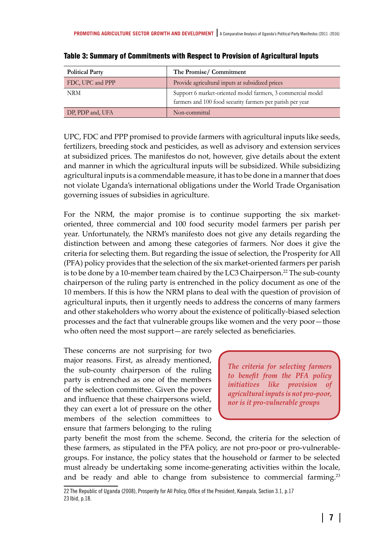| <b>Political Party</b> | The Promise/Commitment                                                                                                   |
|------------------------|--------------------------------------------------------------------------------------------------------------------------|
| FDC, UPC and PPP       | Provide agricultural inputs at subsidized prices                                                                         |
| NRM                    | Support 6 market-oriented model farmers, 3 commercial model<br>farmers and 100 food security farmers per parish per year |
| DP, PDP and, UFA       | Non-committal                                                                                                            |

Table 3: Summary of Commitments with Respect to Provision of Agricultural Inputs

UPC, FDC and PPP promised to provide farmers with agricultural inputs like seeds, fertilizers, breeding stock and pesticides, as well as advisory and extension services at subsidized prices. The manifestos do not, however, give details about the extent and manner in which the agricultural inputs will be subsidized. While subsidizing agricultural inputs is a commendable measure, it has to be done in a manner that does not violate Uganda's international obligations under the World Trade Organisation governing issues of subsidies in agriculture.

For the NRM, the major promise is to continue supporting the six marketoriented, three commercial and 100 food security model farmers per parish per year. Unfortunately, the NRM's manifesto does not give any details regarding the distinction between and among these categories of farmers. Nor does it give the criteria for selecting them. But regarding the issue of selection, the Prosperity for All (PFA) policy provides that the selection of the six market-oriented farmers per parish is to be done by a 10-member team chaired by the LC3 Chairperson.<sup>22</sup> The sub-county chairperson of the ruling party is entrenched in the policy document as one of the 10 members. If this is how the NRM plans to deal with the question of provision of agricultural inputs, then it urgently needs to address the concerns of many farmers and other stakeholders who worry about the existence of politically-biased selection processes and the fact that vulnerable groups like women and the very poor—those who often need the most support—are rarely selected as beneficiaries.

These concerns are not surprising for two major reasons. First, as already mentioned, the sub-county chairperson of the ruling party is entrenched as one of the members of the selection committee. Given the power and influence that these chairpersons wield, they can exert a lot of pressure on the other members of the selection committees to ensure that farmers belonging to the ruling

*The criteria for selecting farmers to benefit from the PFA policy initiatives like provision of agricultural inputs is not pro-poor, nor is it pro-vulnerable groups*

party benefit the most from the scheme. Second, the criteria for the selection of these farmers, as stipulated in the PFA policy, are not pro-poor or pro-vulnerablegroups. For instance, the policy states that the household or farmer to be selected must already be undertaking some income-generating activities within the locale, and be ready and able to change from subsistence to commercial farming.<sup>23</sup>

22 The Republic of Uganda (2008), Prosperity for All Policy, Office of the President, Kampala, Section 3.1, p.17 23 Ibid, p.18.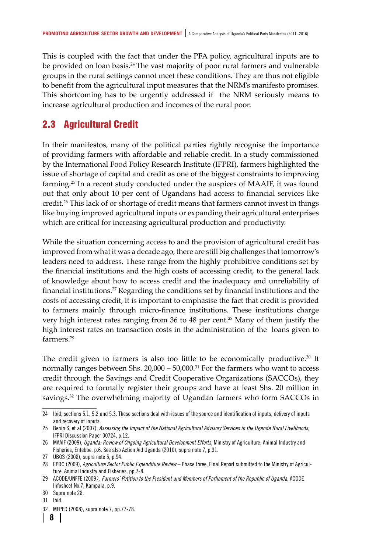This is coupled with the fact that under the PFA policy, agricultural inputs are to be provided on loan basis.<sup>24</sup> The vast majority of poor rural farmers and vulnerable groups in the rural settings cannot meet these conditions. They are thus not eligible to benefit from the agricultural input measures that the NRM's manifesto promises. This shortcoming has to be urgently addressed if the NRM seriously means to increase agricultural production and incomes of the rural poor.

#### 2.3 Agricultural Credit

In their manifestos, many of the political parties rightly recognise the importance of providing farmers with affordable and reliable credit. In a study commissioned by the International Food Policy Research Institute (IFPRI), farmers highlighted the issue of shortage of capital and credit as one of the biggest constraints to improving farming.<sup>25</sup> In a recent study conducted under the auspices of MAAIF, it was found out that only about 10 per cent of Ugandans had access to financial services like credit.26 This lack of or shortage of credit means that farmers cannot invest in things like buying improved agricultural inputs or expanding their agricultural enterprises which are critical for increasing agricultural production and productivity.

While the situation concerning access to and the provision of agricultural credit has improved from what it was a decade ago, there are still big challenges that tomorrow's leaders need to address. These range from the highly prohibitive conditions set by the financial institutions and the high costs of accessing credit, to the general lack of knowledge about how to access credit and the inadequacy and unreliability of financial institutions.<sup>27</sup> Regarding the conditions set by financial institutions and the costs of accessing credit, it is important to emphasise the fact that credit is provided to farmers mainly through micro-finance institutions. These institutions charge very high interest rates ranging from 36 to 48 per cent.<sup>28</sup> Many of them justify the high interest rates on transaction costs in the administration of the loans given to farmers.<sup>29</sup>

The credit given to farmers is also too little to be economically productive.<sup>30</sup> It normally ranges between Shs.  $20,000 - 50,000$ .<sup>31</sup> For the farmers who want to access credit through the Savings and Credit Cooperative Organizations (SACCOs), they are required to formally register their groups and have at least Shs. 20 million in savings.<sup>32</sup> The overwhelming majority of Ugandan farmers who form SACCOs in

<sup>24</sup> Ibid, sections 5.1, 5.2 and 5.3. These sections deal with issues of the source and identification of inputs, delivery of inputs and recovery of inputs.

<sup>25</sup> Benin S, et al (2007), *Assessing the Impact of the National Agricultural Advisory Services in the Uganda Rural Livelihoods*, IFPRI Discussion Paper 00724, p.12.

<sup>26</sup> MAAIF (2009), *Uganda: Review of Ongoing Agricultural Development Efforts,* Ministry of Agriculture, Animal Industry and Fisheries, Entebbe, p.6. See also Action Aid Uganda (2010), supra note 7, p.31.

<sup>27</sup> UBOS (2008), supra note 5, p.94.

<sup>28</sup> EPRC (2009), *Agriculture Sector Public Expenditure Review* – Phase three, Final Report submitted to the Ministry of Agriculture, Animal Industry and Fisheries, pp.7-8.

<sup>29</sup> ACODE/UNFFE (2009*), Farmers' Petition to the President and Members of Parliament of the Republic of Uganda,* ACODE Infosheet No.7, Kampala, p.9.

<sup>30</sup> Supra note 28.

<sup>31</sup> Ibid.

<sup>32</sup> MFPED (2008), supra note 7, pp.77-78.

<sup>8</sup>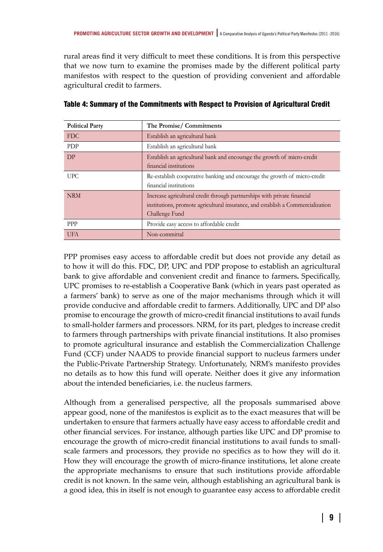rural areas find it very difficult to meet these conditions. It is from this perspective that we now turn to examine the promises made by the different political party manifestos with respect to the question of providing convenient and affordable agricultural credit to farmers.

| <b>Political Party</b> | The Promise/Commitments                                                                                                                                                       |
|------------------------|-------------------------------------------------------------------------------------------------------------------------------------------------------------------------------|
| FDC.                   | Establish an agricultural bank                                                                                                                                                |
| <b>PDP</b>             | Establish an agricultural bank                                                                                                                                                |
| DP                     | Establish an agricultural bank and encourage the growth of micro-credit<br>financial institutions                                                                             |
| <b>UPC</b>             | Re-establish cooperative banking and encourage the growth of micro-credit<br>financial institutions                                                                           |
| <b>NRM</b>             | Increase agricultural credit through partnerships with private financial<br>institutions, promote agricultural insurance, and establish a Commercialization<br>Challenge Fund |
| <b>PPP</b>             | Provide easy access to affordable credit                                                                                                                                      |
| <b>UFA</b>             | Non-committal                                                                                                                                                                 |

Table 4: Summary of the Commitments with Respect to Provision of Agricultural Credit

PPP promises easy access to affordable credit but does not provide any detail as to how it will do this. FDC, DP, UPC and PDP propose to establish an agricultural bank to give affordable and convenient credit and finance to farmers**.** Specifically, UPC promises to re-establish a Cooperative Bank (which in years past operated as a farmers' bank) to serve as one of the major mechanisms through which it will provide conducive and affordable credit to farmers. Additionally, UPC and DP also promise to encourage the growth of micro-credit financial institutions to avail funds to small-holder farmers and processors. NRM, for its part, pledges to increase credit to farmers through partnerships with private financial institutions. It also promises to promote agricultural insurance and establish the Commercialization Challenge Fund (CCF) under NAADS to provide financial support to nucleus farmers under the Public-Private Partnership Strategy. Unfortunately, NRM's manifesto provides no details as to how this fund will operate. Neither does it give any information about the intended beneficiaries, i.e. the nucleus farmers.

Although from a generalised perspective, all the proposals summarised above appear good, none of the manifestos is explicit as to the exact measures that will be undertaken to ensure that farmers actually have easy access to affordable credit and other financial services. For instance, although parties like UPC and DP promise to encourage the growth of micro-credit financial institutions to avail funds to smallscale farmers and processors, they provide no specifics as to how they will do it. How they will encourage the growth of micro-finance institutions, let alone create the appropriate mechanisms to ensure that such institutions provide affordable credit is not known. In the same vein, although establishing an agricultural bank is a good idea, this in itself is not enough to guarantee easy access to affordable credit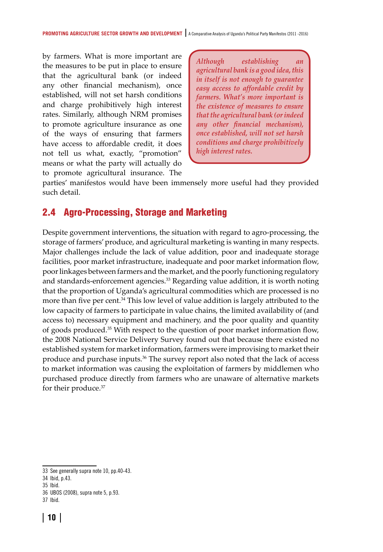by farmers. What is more important are the measures to be put in place to ensure that the agricultural bank (or indeed any other financial mechanism), once established, will not set harsh conditions and charge prohibitively high interest rates. Similarly, although NRM promises to promote agriculture insurance as one of the ways of ensuring that farmers have access to affordable credit, it does not tell us what, exactly, "promotion" means or what the party will actually do to promote agricultural insurance. The

*Although establishing an agricultural bank is a good idea, this in itself is not enough to guarantee easy access to affordable credit by farmers. What's more important is the existence of measures to ensure that the agricultural bank (or indeed any other financial mechanism), once established, will not set harsh conditions and charge prohibitively high interest rates.*

parties' manifestos would have been immensely more useful had they provided such detail.

#### 2.4 Agro-Processing, Storage and Marketing

Despite government interventions, the situation with regard to agro-processing, the storage of farmers' produce, and agricultural marketing is wanting in many respects. Major challenges include the lack of value addition, poor and inadequate storage facilities, poor market infrastructure, inadequate and poor market information flow, poor linkages between farmers and the market, and the poorly functioning regulatory and standards-enforcement agencies.<sup>33</sup> Regarding value addition, it is worth noting that the proportion of Uganda's agricultural commodities which are processed is no more than five per cent.<sup>34</sup> This low level of value addition is largely attributed to the low capacity of farmers to participate in value chains, the limited availability of (and access to) necessary equipment and machinery, and the poor quality and quantity of goods produced.<sup>35</sup> With respect to the question of poor market information flow, the 2008 National Service Delivery Survey found out that because there existed no established system for market information, farmers were improvising to market their produce and purchase inputs.<sup>36</sup> The survey report also noted that the lack of access to market information was causing the exploitation of farmers by middlemen who purchased produce directly from farmers who are unaware of alternative markets for their produce.<sup>37</sup>

<sup>33</sup> See generally supra note 10, pp.40-43.

<sup>34</sup> Ibid, p.43.

<sup>35</sup> Ibid.

<sup>36</sup> UBOS (2008), supra note 5, p.93.

<sup>37</sup> Ibid.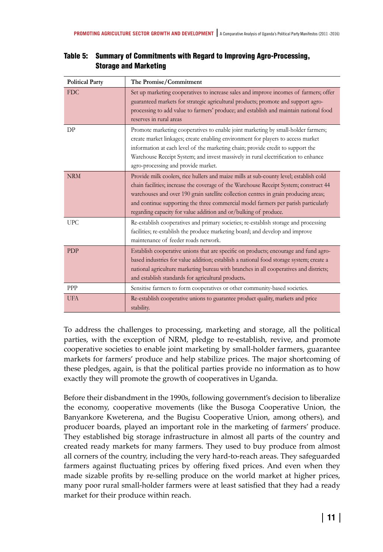| <b>Political Party</b> | The Promise/Commitment                                                                                                                                                                                                                                                                                                                                                                                                            |
|------------------------|-----------------------------------------------------------------------------------------------------------------------------------------------------------------------------------------------------------------------------------------------------------------------------------------------------------------------------------------------------------------------------------------------------------------------------------|
| FDC                    | Set up marketing cooperatives to increase sales and improve incomes of farmers; offer<br>guaranteed markets for strategic agricultural products; promote and support agro-<br>processing to add value to farmers' produce; and establish and maintain national food<br>reserves in rural areas                                                                                                                                    |
| DP                     | Promote marketing cooperatives to enable joint marketing by small-holder farmers;<br>create market linkages; create enabling environment for players to access market<br>information at each level of the marketing chain; provide credit to support the<br>Warehouse Receipt System; and invest massively in rural electrification to enhance<br>agro-processing and provide market.                                             |
| <b>NRM</b>             | Provide milk coolers, rice hullers and maize mills at sub-county level; establish cold<br>chain facilities; increase the coverage of the Warehouse Receipt System; construct 44<br>warehouses and over 190 grain satellite collection centres in grain producing areas;<br>and continue supporting the three commercial model farmers per parish particularly<br>regarding capacity for value addition and or/bulking of produce. |
| <b>UPC</b>             | Re-establish cooperatives and primary societies; re-establish storage and processing<br>facilities; re-establish the produce marketing board; and develop and improve<br>maintenance of feeder roads network.                                                                                                                                                                                                                     |
| <b>PDP</b>             | Establish cooperative unions that are specific on products; encourage and fund agro-<br>based industries for value addition; establish a national food storage system; create a<br>national agriculture marketing bureau with branches in all cooperatives and districts;<br>and establish standards for agricultural products.                                                                                                   |
| PPP                    | Sensitise farmers to form cooperatives or other community-based societies.                                                                                                                                                                                                                                                                                                                                                        |
| <b>UFA</b>             | Re-establish cooperative unions to guarantee product quality, markets and price<br>stability.                                                                                                                                                                                                                                                                                                                                     |

Table 5: Summary of Commitments with Regard to Improving Agro-Processing, Storage and Marketing

To address the challenges to processing, marketing and storage, all the political parties, with the exception of NRM, pledge to re-establish, revive, and promote cooperative societies to enable joint marketing by small-holder farmers, guarantee markets for farmers' produce and help stabilize prices. The major shortcoming of these pledges, again, is that the political parties provide no information as to how exactly they will promote the growth of cooperatives in Uganda.

Before their disbandment in the 1990s, following government's decision to liberalize the economy, cooperative movements (like the Busoga Cooperative Union, the Banyankore Kweterena, and the Bugisu Cooperative Union, among others), and producer boards, played an important role in the marketing of farmers' produce. They established big storage infrastructure in almost all parts of the country and created ready markets for many farmers. They used to buy produce from almost all corners of the country, including the very hard-to-reach areas. They safeguarded farmers against fluctuating prices by offering fixed prices. And even when they made sizable profits by re-selling produce on the world market at higher prices, many poor rural small-holder farmers were at least satisfied that they had a ready market for their produce within reach.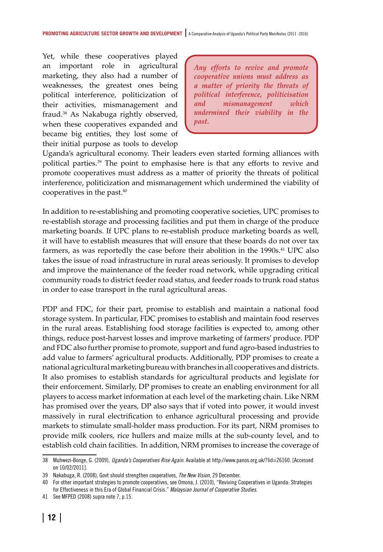Yet, while these cooperatives played an important role in agricultural marketing, they also had a number of weaknesses, the greatest ones being political interference, politicization of their activities, mismanagement and fraud.<sup>38</sup> As Nakabuga rightly observed, when these cooperatives expanded and became big entities, they lost some of their initial purpose as tools to develop

*Any efforts to revive and promote cooperative unions must address as a matter of priority the threats of political interference, politicisation and mismanagement which undermined their viability in the past.*

Uganda's agricultural economy. Their leaders even started forming alliances with political parties.39 The point to emphasise here is that any efforts to revive and promote cooperatives must address as a matter of priority the threats of political interference, politicization and mismanagement which undermined the viability of cooperatives in the past.40

In addition to re-establishing and promoting cooperative societies, UPC promises to re-establish storage and processing facilities and put them in charge of the produce marketing boards. If UPC plans to re-establish produce marketing boards as well, it will have to establish measures that will ensure that these boards do not over tax farmers, as was reportedly the case before their abolition in the 1990s.41 UPC also takes the issue of road infrastructure in rural areas seriously. It promises to develop and improve the maintenance of the feeder road network, while upgrading critical community roads to district feeder road status, and feeder roads to trunk road status in order to ease transport in the rural agricultural areas.

PDP and FDC, for their part, promise to establish and maintain a national food storage system. In particular, FDC promises to establish and maintain food reserves in the rural areas. Establishing food storage facilities is expected to, among other things, reduce post-harvest losses and improve marketing of farmers' produce. PDP and FDC also further promise to promote, support and fund agro-based industries to add value to farmers' agricultural products. Additionally, PDP promises to create a national agricultural marketing bureau with branches in all cooperatives and districts. It also promises to establish standards for agricultural products and legislate for their enforcement. Similarly, DP promises to create an enabling environment for all players to access market information at each level of the marketing chain. Like NRM has promised over the years, DP also says that if voted into power, it would invest massively in rural electrification to enhance agricultural processing and provide markets to stimulate small-holder mass production. For its part, NRM promises to provide milk coolers, rice hullers and maize mills at the sub-county level, and to establish cold chain facilities. In addition, NRM promises to increase the coverage of

<sup>38</sup> Muhwezi-Bonge, G. (2009), *Uganda's Cooperatives Rise Again*. Available at http://www.panos.org.uk/?lid=26160. [Accessed on 10/02/2011].

<sup>39</sup> Nakabuga, R. (2008), Govt should strengthen cooperatives, *The New Vision*, 29 December.

<sup>40</sup> For other important strategies to promote cooperatives, see Omona, J. (2010), "Reviving Cooperatives in Uganda: Strategies for Effectiveness in this Era of Global Financial Crisis." *Malaysian Journal of Cooperative Studies.*

<sup>41</sup> See MFPED (2008) supra note 7, p.15.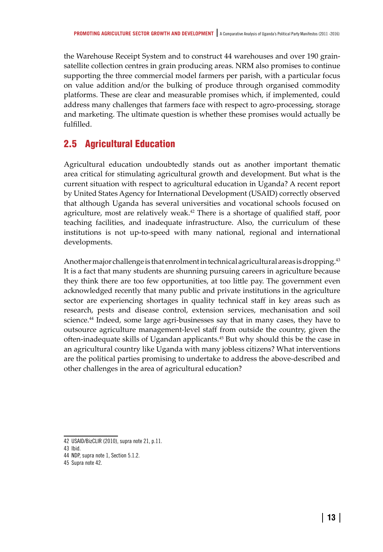the Warehouse Receipt System and to construct 44 warehouses and over 190 grainsatellite collection centres in grain producing areas. NRM also promises to continue supporting the three commercial model farmers per parish, with a particular focus on value addition and/or the bulking of produce through organised commodity platforms. These are clear and measurable promises which, if implemented, could address many challenges that farmers face with respect to agro-processing, storage and marketing. The ultimate question is whether these promises would actually be fulfilled.

### 2.5 Agricultural Education

Agricultural education undoubtedly stands out as another important thematic area critical for stimulating agricultural growth and development. But what is the current situation with respect to agricultural education in Uganda? A recent report by United States Agency for International Development (USAID) correctly observed that although Uganda has several universities and vocational schools focused on agriculture, most are relatively weak.<sup>42</sup> There is a shortage of qualified staff, poor teaching facilities, and inadequate infrastructure. Also, the curriculum of these institutions is not up-to-speed with many national, regional and international developments.

Another major challenge is that enrolment in technical agricultural areas is dropping.<sup>43</sup> It is a fact that many students are shunning pursuing careers in agriculture because they think there are too few opportunities, at too little pay. The government even acknowledged recently that many public and private institutions in the agriculture sector are experiencing shortages in quality technical staff in key areas such as research, pests and disease control, extension services, mechanisation and soil science.44 Indeed, some large agri-businesses say that in many cases, they have to outsource agriculture management-level staff from outside the country, given the often-inadequate skills of Ugandan applicants.45 But why should this be the case in an agricultural country like Uganda with many jobless citizens? What interventions are the political parties promising to undertake to address the above-described and other challenges in the area of agricultural education?

<sup>42</sup> USAID/BizCLIR (2010), supra note 21, p.11.

<sup>43</sup> Ibid.

<sup>44</sup> NDP, supra note 1, Section 5.1.2.

<sup>45</sup> Supra note 42.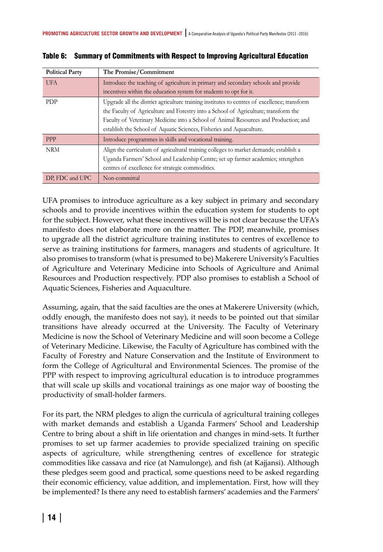| <b>Political Party</b> | The Promise/Commitment                                                                                                                                                                                                                                                                                                                              |
|------------------------|-----------------------------------------------------------------------------------------------------------------------------------------------------------------------------------------------------------------------------------------------------------------------------------------------------------------------------------------------------|
| <b>UFA</b>             | Introduce the teaching of agriculture in primary and secondary schools and provide<br>incentives within the education system for students to opt for it.                                                                                                                                                                                            |
| <b>PDP</b>             | Upgrade all the district agriculture training institutes to centres of excellence; transform<br>the Faculty of Agriculture and Forestry into a School of Agriculture; transform the<br>Faculty of Veterinary Medicine into a School of Animal Resources and Production; and<br>establish the School of Aquatic Sciences, Fisheries and Aquaculture. |
| <b>PPP</b>             | Introduce programmes in skills and vocational training.                                                                                                                                                                                                                                                                                             |
| <b>NRM</b>             | Align the curriculum of agricultural training colleges to market demands; establish a<br>Uganda Farmers' School and Leadership Centre; set up farmer academies; strengthen<br>centres of excellence for strategic commodities.                                                                                                                      |
| DP, FDC and UPC        | Non-committal                                                                                                                                                                                                                                                                                                                                       |

Table 6: Summary of Commitments with Respect to Improving Agricultural Education

UFA promises to introduce agriculture as a key subject in primary and secondary schools and to provide incentives within the education system for students to opt for the subject. However, what these incentives will be is not clear because the UFA's manifesto does not elaborate more on the matter. The PDP, meanwhile, promises to upgrade all the district agriculture training institutes to centres of excellence to serve as training institutions for farmers, managers and students of agriculture. It also promises to transform (what is presumed to be) Makerere University's Faculties of Agriculture and Veterinary Medicine into Schools of Agriculture and Animal Resources and Production respectively. PDP also promises to establish a School of Aquatic Sciences, Fisheries and Aquaculture.

Assuming, again, that the said faculties are the ones at Makerere University (which, oddly enough, the manifesto does not say), it needs to be pointed out that similar transitions have already occurred at the University. The Faculty of Veterinary Medicine is now the School of Veterinary Medicine and will soon become a College of Veterinary Medicine. Likewise, the Faculty of Agriculture has combined with the Faculty of Forestry and Nature Conservation and the Institute of Environment to form the College of Agricultural and Environmental Sciences. The promise of the PPP with respect to improving agricultural education is to introduce programmes that will scale up skills and vocational trainings as one major way of boosting the productivity of small-holder farmers.

For its part, the NRM pledges to align the curricula of agricultural training colleges with market demands and establish a Uganda Farmers' School and Leadership Centre to bring about a shift in life orientation and changes in mind-sets. It further promises to set up farmer academies to provide specialized training on specific aspects of agriculture, while strengthening centres of excellence for strategic commodities like cassava and rice (at Namulonge), and fish (at Kajjansi). Although these pledges seem good and practical, some questions need to be asked regarding their economic efficiency, value addition, and implementation. First, how will they be implemented? Is there any need to establish farmers' academies and the Farmers'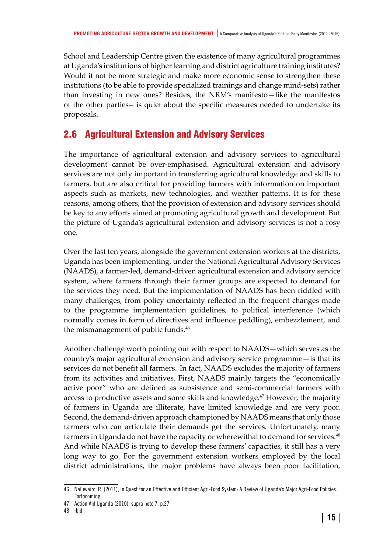School and Leadership Centre given the existence of many agricultural programmes at Uganda's institutions of higher learning and district agriculture training institutes? Would it not be more strategic and make more economic sense to strengthen these institutions (to be able to provide specialized trainings and change mind-sets) rather than investing in new ones? Besides, the NRM's manifesto—like the manifestos of the other parties-- is quiet about the specific measures needed to undertake its proposals.

### 2.6 Agricultural Extension and Advisory Services

The importance of agricultural extension and advisory services to agricultural development cannot be over-emphasised. Agricultural extension and advisory services are not only important in transferring agricultural knowledge and skills to farmers, but are also critical for providing farmers with information on important aspects such as markets, new technologies, and weather patterns. It is for these reasons, among others, that the provision of extension and advisory services should be key to any efforts aimed at promoting agricultural growth and development. But the picture of Uganda's agricultural extension and advisory services is not a rosy one.

Over the last ten years, alongside the government extension workers at the districts, Uganda has been implementing, under the National Agricultural Advisory Services (NAADS), a farmer-led, demand-driven agricultural extension and advisory service system, where farmers through their farmer groups are expected to demand for the services they need. But the implementation of NAADS has been riddled with many challenges, from policy uncertainty reflected in the frequent changes made to the programme implementation guidelines, to political interference (which normally comes in form of directives and influence peddling), embezzlement, and the mismanagement of public funds.<sup>46</sup>

Another challenge worth pointing out with respect to NAADS—which serves as the country's major agricultural extension and advisory service programme—is that its services do not benefit all farmers. In fact, NAADS excludes the majority of farmers from its activities and initiatives. First, NAADS mainly targets the "economically active poor" who are defined as subsistence and semi-commercial farmers with access to productive assets and some skills and knowledge.<sup>47</sup> However, the majority of farmers in Uganda are illiterate, have limited knowledge and are very poor. Second, the demand-driven approach championed by NAADS means that only those farmers who can articulate their demands get the services. Unfortunately, many farmers in Uganda do not have the capacity or wherewithal to demand for services.<sup>48</sup> And while NAADS is trying to develop these farmers' capacities, it still has a very long way to go. For the government extension workers employed by the local district administrations, the major problems have always been poor facilitation,

<sup>46</sup> Naluwairo, R. (2011), In Quest for an Effective and Efficient Agri-Food System: A Review of Uganda's Major Agri-Food Policies. Forthcoming.

<sup>47</sup> Action Aid Uganda (2010), supra note 7, p.27

<sup>48</sup> Ibid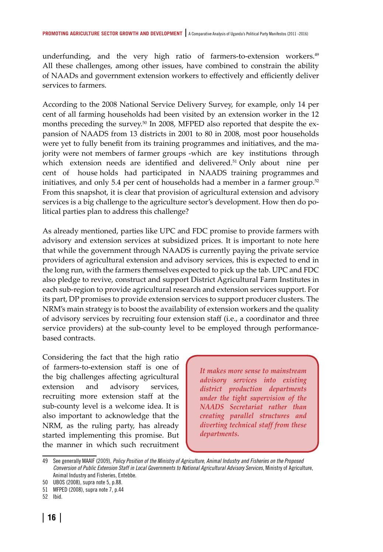underfunding, and the very high ratio of farmers-to-extension workers.49 All these challenges, among other issues, have combined to constrain the ability of NAADs and government extension workers to effectively and efficiently deliver services to farmers.

According to the 2008 National Service Delivery Survey, for example, only 14 per cent of all farming households had been visited by an extension worker in the 12 months preceding the survey.50 In 2008, MFPED also reported that despite the expansion of NAADS from 13 districts in 2001 to 80 in 2008, most poor households were yet to fully benefit from its training programmes and initiatives, and the majority were not members of farmer groups -which are key institutions through which extension needs are identified and delivered.<sup>51</sup> Only about nine per cent of house holds had participated in NAADS training programmes and initiatives, and only 5.4 per cent of households had a member in a farmer group.<sup>52</sup> From this snapshot, it is clear that provision of agricultural extension and advisory services is a big challenge to the agriculture sector's development. How then do political parties plan to address this challenge?

As already mentioned, parties like UPC and FDC promise to provide farmers with advisory and extension services at subsidized prices. It is important to note here that while the government through NAADS is currently paying the private service providers of agricultural extension and advisory services, this is expected to end in the long run, with the farmers themselves expected to pick up the tab. UPC and FDC also pledge to revive, construct and support District Agricultural Farm Institutes in each sub-region to provide agricultural research and extension services support. For its part, DP promises to provide extension services to support producer clusters. The NRM's main strategy is to boost the availability of extension workers and the quality of advisory services by recruiting four extension staff (i.e., a coordinator and three service providers) at the sub-county level to be employed through performancebased contracts.

Considering the fact that the high ratio of farmers-to-extension staff is one of the big challenges affecting agricultural extension and advisory services, recruiting more extension staff at the sub-county level is a welcome idea. It is also important to acknowledge that the NRM, as the ruling party, has already started implementing this promise. But the manner in which such recruitment

*It makes more sense to mainstream advisory services into existing district production departments under the tight supervision of the NAADS Secretariat rather than creating parallel structures and diverting technical staff from these departments.*

<sup>49</sup> See generally MAAIF (2009), *Policy Position of the Ministry of Agriculture, Animal Industry and Fisheries on the Proposed Conversion of Public Extension Staff in Local Governments to National Agricultural Advisory Services*, Ministry of Agriculture, Animal Industry and Fisheries, Entebbe.

<sup>50</sup> UBOS (2008), supra note 5, p.88.

<sup>51</sup> MFPED (2008), supra note 7, p.44

<sup>52</sup> Ibid.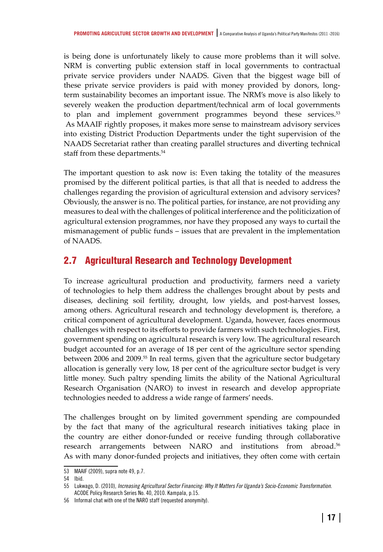is being done is unfortunately likely to cause more problems than it will solve. NRM is converting public extension staff in local governments to contractual private service providers under NAADS. Given that the biggest wage bill of these private service providers is paid with money provided by donors, longterm sustainability becomes an important issue. The NRM's move is also likely to severely weaken the production department/technical arm of local governments to plan and implement government programmes beyond these services.<sup>53</sup> As MAAIF rightly proposes, it makes more sense to mainstream advisory services into existing District Production Departments under the tight supervision of the NAADS Secretariat rather than creating parallel structures and diverting technical staff from these departments.<sup>54</sup>

The important question to ask now is: Even taking the totality of the measures promised by the different political parties, is that all that is needed to address the challenges regarding the provision of agricultural extension and advisory services? Obviously, the answer is no. The political parties, for instance, are not providing any measures to deal with the challenges of political interference and the politicization of agricultural extension programmes, nor have they proposed any ways to curtail the mismanagement of public funds – issues that are prevalent in the implementation of NAADS.

### 2.7 Agricultural Research and Technology Development

To increase agricultural production and productivity, farmers need a variety of technologies to help them address the challenges brought about by pests and diseases, declining soil fertility, drought, low yields, and post-harvest losses, among others. Agricultural research and technology development is, therefore, a critical component of agricultural development. Uganda, however, faces enormous challenges with respect to its efforts to provide farmers with such technologies. First, government spending on agricultural research is very low. The agricultural research budget accounted for an average of 18 per cent of the agriculture sector spending between 2006 and 2009.<sup>55</sup> In real terms, given that the agriculture sector budgetary allocation is generally very low, 18 per cent of the agriculture sector budget is very little money. Such paltry spending limits the ability of the National Agricultural Research Organisation (NARO) to invest in research and develop appropriate technologies needed to address a wide range of farmers' needs.

The challenges brought on by limited government spending are compounded by the fact that many of the agricultural research initiatives taking place in the country are either donor-funded or receive funding through collaborative research arrangements between NARO and institutions from abroad.<sup>56</sup> As with many donor-funded projects and initiatives, they often come with certain

<sup>53</sup> MAAIF (2009), supra note 49, p.7.

<sup>54</sup> Ibid.

<sup>55</sup> Lukwago, D. (2010), *Increasing Agricultural Sector Financing: Why It Matters For Uganda's Socio-Economic Transformation.*  ACODE Policy Research Series No. 40, 2010. Kampala, p.15.

<sup>56</sup> Informal chat with one of the NARO staff (requested anonymity).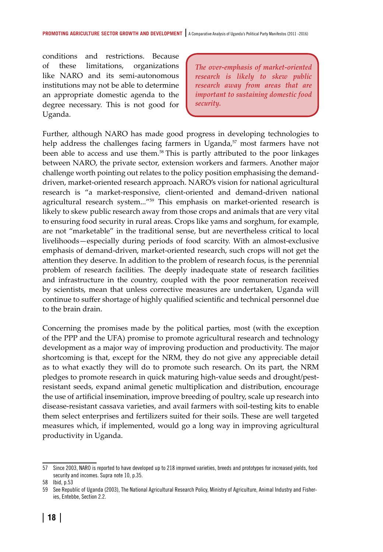conditions and restrictions. Because of these limitations, organizations like NARO and its semi-autonomous institutions may not be able to determine an appropriate domestic agenda to the degree necessary. This is not good for Uganda.

*The over-emphasis of market-oriented research is likely to skew public research away from areas that are important to sustaining domestic food security.*

Further, although NARO has made good progress in developing technologies to help address the challenges facing farmers in Uganda, $57 \text{ most farmers have not}$ been able to access and use them.<sup>58</sup> This is partly attributed to the poor linkages between NARO, the private sector, extension workers and farmers. Another major challenge worth pointing out relates to the policy position emphasising the demanddriven, market-oriented research approach. NARO's vision for national agricultural research is "a market-responsive, client-oriented and demand-driven national agricultural research system..."<sup>59</sup> This emphasis on market-oriented research is likely to skew public research away from those crops and animals that are very vital to ensuring food security in rural areas. Crops like yams and sorghum, for example, are not "marketable" in the traditional sense, but are nevertheless critical to local livelihoods—especially during periods of food scarcity. With an almost-exclusive emphasis of demand-driven, market-oriented research, such crops will not get the attention they deserve. In addition to the problem of research focus, is the perennial problem of research facilities. The deeply inadequate state of research facilities and infrastructure in the country, coupled with the poor remuneration received by scientists, mean that unless corrective measures are undertaken, Uganda will continue to suffer shortage of highly qualified scientific and technical personnel due to the brain drain.

Concerning the promises made by the political parties, most (with the exception of the PPP and the UFA) promise to promote agricultural research and technology development as a major way of improving production and productivity. The major shortcoming is that, except for the NRM, they do not give any appreciable detail as to what exactly they will do to promote such research. On its part, the NRM pledges to promote research in quick maturing high-value seeds and drought/pestresistant seeds, expand animal genetic multiplication and distribution, encourage the use of artificial insemination, improve breeding of poultry, scale up research into disease-resistant cassava varieties, and avail farmers with soil-testing kits to enable them select enterprises and fertilizers suited for their soils. These are well targeted measures which, if implemented, would go a long way in improving agricultural productivity in Uganda.

<sup>57</sup> Since 2003, NARO is reported to have developed up to 218 improved varieties, breeds and prototypes for increased yields, food security and incomes. Supra note 10, p.35.

<sup>58</sup> Ibid, p.53

<sup>59</sup> See Republic of Uganda (2003), The National Agricultural Research Policy, Ministry of Agriculture, Animal Industry and Fisheries, Entebbe, Section 2.2.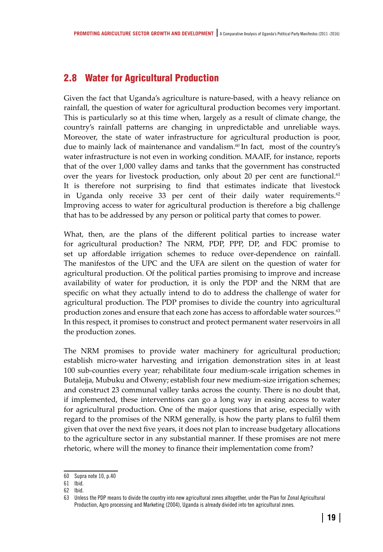### 2.8 Water for Agricultural Production

Given the fact that Uganda's agriculture is nature-based, with a heavy reliance on rainfall, the question of water for agricultural production becomes very important. This is particularly so at this time when, largely as a result of climate change, the country's rainfall patterns are changing in unpredictable and unreliable ways. Moreover, the state of water infrastructure for agricultural production is poor, due to mainly lack of maintenance and vandalism.<sup>60</sup> In fact, most of the country's water infrastructure is not even in working condition. MAAIF, for instance, reports that of the over 1,000 valley dams and tanks that the government has constructed over the years for livestock production, only about 20 per cent are functional.<sup>61</sup> It is therefore not surprising to find that estimates indicate that livestock in Uganda only receive 33 per cent of their daily water requirements.<sup>62</sup> Improving access to water for agricultural production is therefore a big challenge that has to be addressed by any person or political party that comes to power.

What, then, are the plans of the different political parties to increase water for agricultural production? The NRM, PDP, PPP, DP, and FDC promise to set up affordable irrigation schemes to reduce over-dependence on rainfall. The manifestos of the UPC and the UFA are silent on the question of water for agricultural production. Of the political parties promising to improve and increase availability of water for production, it is only the PDP and the NRM that are specific on what they actually intend to do to address the challenge of water for agricultural production. The PDP promises to divide the country into agricultural production zones and ensure that each zone has access to affordable water sources.<sup>63</sup> In this respect, it promises to construct and protect permanent water reservoirs in all the production zones.

The NRM promises to provide water machinery for agricultural production; establish micro-water harvesting and irrigation demonstration sites in at least 100 sub-counties every year; rehabilitate four medium-scale irrigation schemes in Butalejja, Mubuku and Olweny; establish four new medium-size irrigation schemes; and construct 23 communal valley tanks across the county. There is no doubt that, if implemented, these interventions can go a long way in easing access to water for agricultural production. One of the major questions that arise, especially with regard to the promises of the NRM generally, is how the party plans to fulfil them given that over the next five years, it does not plan to increase budgetary allocations to the agriculture sector in any substantial manner. If these promises are not mere rhetoric, where will the money to finance their implementation come from?

<sup>60</sup> Supra note 10, p.40

<sup>61</sup> Ibid.

<sup>62</sup> Ibid.

<sup>63</sup> Unless the PDP means to divide the country into new agricultural zones altogether, under the Plan for Zonal Agricultural Production, Agro processing and Marketing (2004), Uganda is already divided into ten agricultural zones.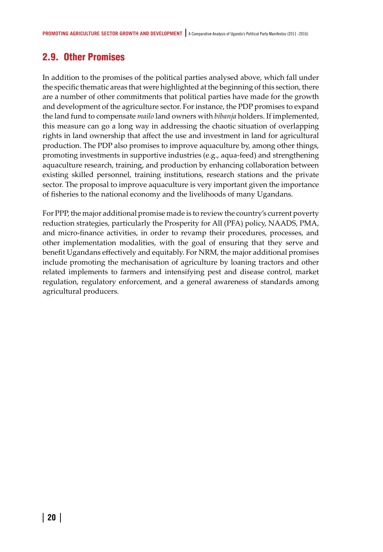#### 2.9. Other Promises

In addition to the promises of the political parties analysed above, which fall under the specific thematic areas that were highlighted at the beginning of this section, there are a number of other commitments that political parties have made for the growth and development of the agriculture sector. For instance, the PDP promises to expand the land fund to compensate *mailo* land owners with *bibanja* holders. If implemented, this measure can go a long way in addressing the chaotic situation of overlapping rights in land ownership that affect the use and investment in land for agricultural production. The PDP also promises to improve aquaculture by, among other things, promoting investments in supportive industries (e.g., aqua-feed) and strengthening aquaculture research, training, and production by enhancing collaboration between existing skilled personnel, training institutions, research stations and the private sector. The proposal to improve aquaculture is very important given the importance of fisheries to the national economy and the livelihoods of many Ugandans.

For PPP, the major additional promise made is to review the country's current poverty reduction strategies, particularly the Prosperity for All (PFA) policy, NAADS, PMA, and micro-finance activities, in order to revamp their procedures, processes, and other implementation modalities, with the goal of ensuring that they serve and benefit Ugandans effectively and equitably. For NRM, the major additional promises include promoting the mechanisation of agriculture by loaning tractors and other related implements to farmers and intensifying pest and disease control, market regulation, regulatory enforcement, and a general awareness of standards among agricultural producers.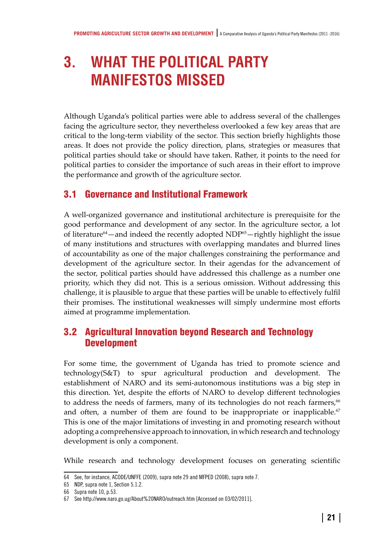# 3. WHAT THE POLITICAL PARTY MANIFESTOS MISSED

Although Uganda's political parties were able to address several of the challenges facing the agriculture sector, they nevertheless overlooked a few key areas that are critical to the long-term viability of the sector. This section briefly highlights those areas. It does not provide the policy direction, plans, strategies or measures that political parties should take or should have taken. Rather, it points to the need for political parties to consider the importance of such areas in their effort to improve the performance and growth of the agriculture sector.

### 3.1 Governance and Institutional Framework

A well-organized governance and institutional architecture is prerequisite for the good performance and development of any sector. In the agriculture sector, a lot of literature<sup>64</sup>—and indeed the recently adopted NDP<sup>65</sup>—rightly highlight the issue of many institutions and structures with overlapping mandates and blurred lines of accountability as one of the major challenges constraining the performance and development of the agriculture sector. In their agendas for the advancement of the sector, political parties should have addressed this challenge as a number one priority, which they did not. This is a serious omission. Without addressing this challenge, it is plausible to argue that these parties will be unable to effectively fulfil their promises. The institutional weaknesses will simply undermine most efforts aimed at programme implementation.

### 3.2 Agricultural Innovation beyond Research and Technology Development

For some time, the government of Uganda has tried to promote science and technology(S&T) to spur agricultural production and development. The establishment of NARO and its semi-autonomous institutions was a big step in this direction. Yet, despite the efforts of NARO to develop different technologies to address the needs of farmers, many of its technologies do not reach farmers,<sup>66</sup> and often, a number of them are found to be inappropriate or inapplicable.<sup>67</sup> This is one of the major limitations of investing in and promoting research without adopting a comprehensive approach to innovation, in which research and technology development is only a component.

While research and technology development focuses on generating scientific

<sup>64</sup> See, for instance, ACODE/UNFFE (2009), supra note 29 and MFPED (2008), supra note 7.

<sup>65</sup> NDP, supra note 1, Section 5.1.2.

<sup>66</sup> Supra note 10, p.53.

<sup>67</sup> See http://www.naro.go.ug/About%20NARO/outreach.htm [Accessed on 03/02/2011].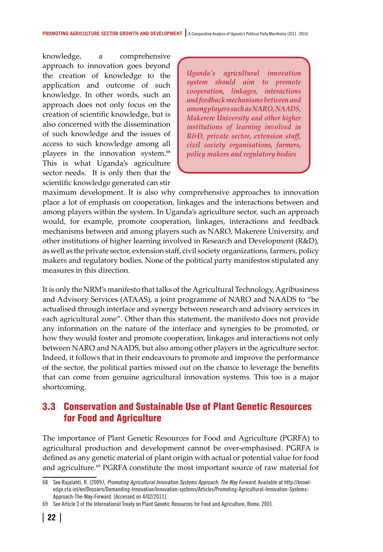knowledge, a comprehensive approach to innovation goes beyond the creation of knowledge to the application and outcome of such knowledge. In other words, such an approach does not only focus on the creation of scientific knowledge, but is also concerned with the dissemination of such knowledge and the issues of access to such knowledge among all players in the innovation system.<sup>68</sup> This is what Uganda's agriculture sector needs. It is only then that the scientific knowledge generated can stir

*Uganda's agricultural innovation system should aim to promote cooperation, linkages, interactions and feedback mechanisms between and among players such as NARO, NAADS, Makerere University and other higher institutions of learning involved in R&D, private sector, extension staff, civil society organisations, farmers, policy makers and regulatory bodies* 

maximum development. It is also why comprehensive approaches to innovation place a lot of emphasis on cooperation, linkages and the interactions between and among players within the system. In Uganda's agriculture sector, such an approach would, for example, promote cooperation, linkages, interactions and feedback mechanisms between and among players such as NARO, Makerere University, and other institutions of higher learning involved in Research and Development (R&D), as well as the private sector, extension staff, civil society organizations, farmers, policy makers and regulatory bodies. None of the political party manifestos stipulated any measures in this direction.

It is only the NRM's manifesto that talks of the Agricultural Technology, Agribusiness and Advisory Services (ATAAS), a joint programme of NARO and NAADS to "be actualised through interface and synergy between research and advisory services in each agricultural zone". Other than this statement, the manifesto does not provide any information on the nature of the interface and synergies to be promoted, or how they would foster and promote cooperation, linkages and interactions not only between NARO and NAADS, but also among other players in the agriculture sector. Indeed, it follows that in their endeavours to promote and improve the performance of the sector, the political parties missed out on the chance to leverage the benefits that can come from genuine agricultural innovation systems. This too is a major shortcoming.

### 3.3 Conservation and Sustainable Use of Plant Genetic Resources for Food and Agriculture

The importance of Plant Genetic Resources for Food and Agriculture (PGRFA) to agricultural production and development cannot be over-emphasised. PGRFA is defined as any genetic material of plant origin with actual or potential value for food and agriculture.<sup>69</sup> PGRFA constitute the most important source of raw material for

<sup>68</sup> See Rajalahti, R. (2009*), Promoting Agricultural Innovation Systems Approach: The Way Forward.* Available at http://knowledge.cta.int/en/Dossiers/Demanding-Innovation/Innovation-systems/Articles/Promoting-Agricultural-Innovation-Systems-Approach-The-Way-Forward. [Accessed on 4/02/2011].

<sup>69</sup> See Article 2 of the International Treaty on Plant Genetic Resources for Food and Agriculture, Rome, 2001.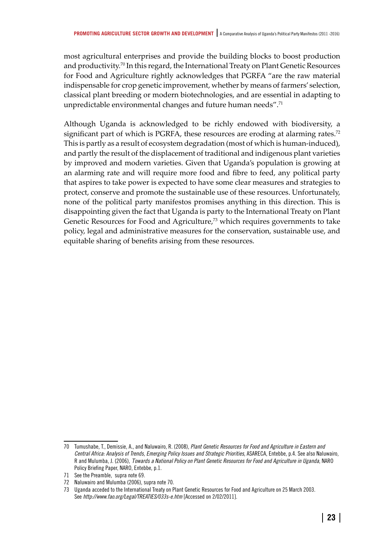most agricultural enterprises and provide the building blocks to boost production and productivity.<sup>70</sup> In this regard, the International Treaty on Plant Genetic Resources for Food and Agriculture rightly acknowledges that PGRFA "are the raw material indispensable for crop genetic improvement, whether by means of farmers' selection, classical plant breeding or modern biotechnologies, and are essential in adapting to unpredictable environmental changes and future human needs".<sup>71</sup>

Although Uganda is acknowledged to be richly endowed with biodiversity, a significant part of which is PGRFA, these resources are eroding at alarming rates.<sup>72</sup> This is partly as a result of ecosystem degradation (most of which is human-induced), and partly the result of the displacement of traditional and indigenous plant varieties by improved and modern varieties. Given that Uganda's population is growing at an alarming rate and will require more food and fibre to feed, any political party that aspires to take power is expected to have some clear measures and strategies to protect, conserve and promote the sustainable use of these resources. Unfortunately, none of the political party manifestos promises anything in this direction. This is disappointing given the fact that Uganda is party to the International Treaty on Plant Genetic Resources for Food and Agriculture,<sup>73</sup> which requires governments to take policy, legal and administrative measures for the conservation, sustainable use, and equitable sharing of benefits arising from these resources.

<sup>70</sup> Tumushabe, T., Demissie, A., and Naluwairo, R. (2008), *Plant Genetic Resources for Food and Agriculture in Eastern and Central Africa: Analysis of Trends, Emerging Policy Issues and Strategic Priorities*, ASARECA, Entebbe, p.4. See also Naluwairo, R and Mulumba, J. (2006), *Towards a National Policy on Plant Genetic Resources for Food and Agriculture in Uganda*, NARO Policy Briefing Paper, NARO, Entebbe, p.1.

<sup>71</sup> See the Preamble, supra note 69.

<sup>72</sup> Naluwairo and Mulumba (2006), supra note 70.

<sup>73</sup> Uganda acceded to the International Treaty on Plant Genetic Resources for Food and Agriculture on 25 March 2003. See *http://www.fao.org/Legal/TREATIES/033s-e.htm* [Accessed on 2/02/2011].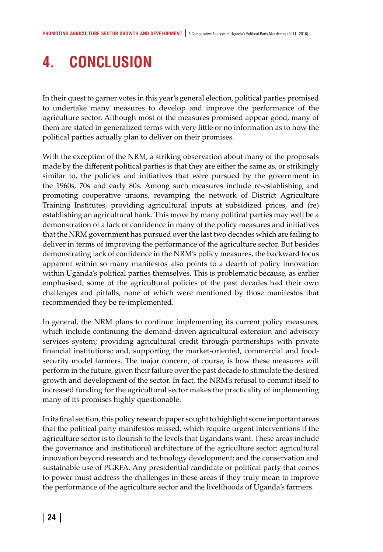# 4. CONCLUSION

In their quest to garner votes in this year's general election, political parties promised to undertake many measures to develop and improve the performance of the agriculture sector. Although most of the measures promised appear good, many of them are stated in generalized terms with very little or no information as to how the political parties actually plan to deliver on their promises.

With the exception of the NRM, a striking observation about many of the proposals made by the different political parties is that they are either the same as, or strikingly similar to, the policies and initiatives that were pursued by the government in the 1960s, 70s and early 80s. Among such measures include re-establishing and promoting cooperative unions, revamping the network of District Agriculture Training Institutes, providing agricultural inputs at subsidized prices, and (re) establishing an agricultural bank. This move by many political parties may well be a demonstration of a lack of confidence in many of the policy measures and initiatives that the NRM government has pursued over the last two decades which are failing to deliver in terms of improving the performance of the agriculture sector. But besides demonstrating lack of confidence in the NRM's policy measures, the backward focus apparent within so many manifestos also points to a dearth of policy innovation within Uganda's political parties themselves. This is problematic because, as earlier emphasised, some of the agricultural policies of the past decades had their own challenges and pitfalls, none of which were mentioned by those manifestos that recommended they be re-implemented.

In general, the NRM plans to continue implementing its current policy measures, which include continuing the demand-driven agricultural extension and advisory services system; providing agricultural credit through partnerships with private financial institutions; and, supporting the market-oriented, commercial and foodsecurity model farmers. The major concern, of course, is how these measures will perform in the future, given their failure over the past decade to stimulate the desired growth and development of the sector. In fact, the NRM's refusal to commit itself to increased funding for the agricultural sector makes the practicality of implementing many of its promises highly questionable.

In its final section, this policy research paper sought to highlight some important areas that the political party manifestos missed, which require urgent interventions if the agriculture sector is to flourish to the levels that Ugandans want. These areas include the governance and institutional architecture of the agriculture sector; agricultural innovation beyond research and technology development; and the conservation and sustainable use of PGRFA. Any presidential candidate or political party that comes to power must address the challenges in these areas if they truly mean to improve the performance of the agriculture sector and the livelihoods of Uganda's farmers.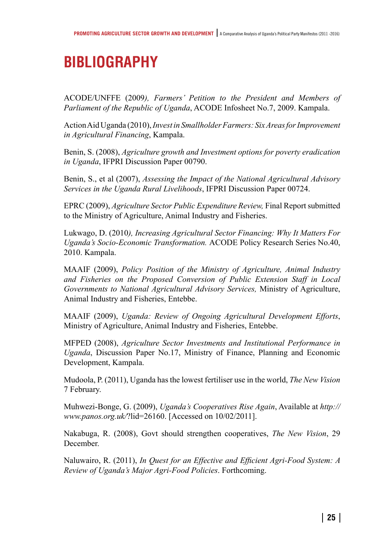# BIBLIOGRAPHY

ACODE/UNFFE (2009*), Farmers' Petition to the President and Members of Parliament of the Republic of Uganda*, ACODE Infosheet No.7, 2009. Kampala.

Action Aid Uganda (2010), *Invest in Smallholder Farmers: Six Areas for Improvement in Agricultural Financing*, Kampala.

Benin, S. (2008), *Agriculture growth and Investment options for poverty eradication in Uganda*, IFPRI Discussion Paper 00790.

Benin, S., et al (2007), *Assessing the Impact of the National Agricultural Advisory Services in the Uganda Rural Livelihoods*, IFPRI Discussion Paper 00724.

EPRC (2009), *Agriculture Sector Public Expenditure Review,* Final Report submitted to the Ministry of Agriculture, Animal Industry and Fisheries.

Lukwago, D. (2010*), Increasing Agricultural Sector Financing: Why It Matters For Uganda's Socio-Economic Transformation.* ACODE Policy Research Series No.40, 2010. Kampala.

MAAIF (2009), *Policy Position of the Ministry of Agriculture, Animal Industry and Fisheries on the Proposed Conversion of Public Extension Staff in Local Governments to National Agricultural Advisory Services,* Ministry of Agriculture, Animal Industry and Fisheries, Entebbe.

MAAIF (2009), *Uganda: Review of Ongoing Agricultural Development Efforts*, Ministry of Agriculture, Animal Industry and Fisheries, Entebbe.

MFPED (2008), *Agriculture Sector Investments and Institutional Performance in Uganda*, Discussion Paper No.17, Ministry of Finance, Planning and Economic Development, Kampala.

Mudoola, P. (2011), Uganda has the lowest fertiliser use in the world, *The New Vision* 7 February.

Muhwezi-Bonge, G. (2009), *Uganda's Cooperatives Rise Again*, Available at *http:// www.panos.org.uk/*?lid=26160. [Accessed on 10/02/2011].

Nakabuga, R. (2008), Govt should strengthen cooperatives, *The New Vision*, 29 December.

Naluwairo, R. (2011), *In Quest for an Effective and Efficient Agri-Food System: A Review of Uganda's Major Agri-Food Policies*. Forthcoming.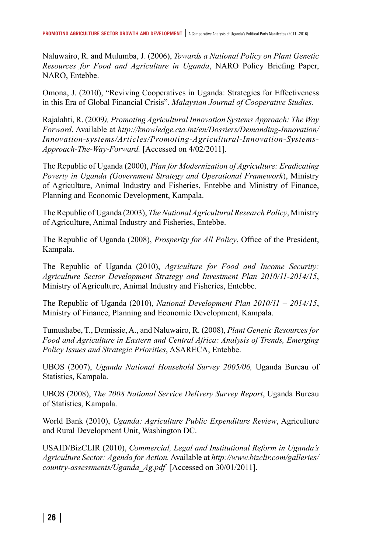Naluwairo, R. and Mulumba, J. (2006), *Towards a National Policy on Plant Genetic Resources for Food and Agriculture in Uganda*, NARO Policy Briefing Paper, NARO, Entebbe.

Omona, J. (2010), "Reviving Cooperatives in Uganda: Strategies for Effectiveness in this Era of Global Financial Crisis". *Malaysian Journal of Cooperative Studies.*

Rajalahti, R. (2009*), Promoting Agricultural Innovation Systems Approach: The Way Forward*. Available at *http://knowledge.cta.int/en/Dossiers/Demanding-Innovation/ Innovation-systems/Articles/Promoting-Agricultural-Innovation-Systems-Approach-The-Way-Forward.* [Accessed on 4/02/2011].

The Republic of Uganda (2000), *Plan for Modernization of Agriculture: Eradicating Poverty in Uganda (Government Strategy and Operational Framework*), Ministry of Agriculture, Animal Industry and Fisheries, Entebbe and Ministry of Finance, Planning and Economic Development, Kampala.

The Republic of Uganda (2003), *The National Agricultural Research Policy*, Ministry of Agriculture, Animal Industry and Fisheries, Entebbe.

The Republic of Uganda (2008), *Prosperity for All Policy*, Office of the President, Kampala.

The Republic of Uganda (2010), *Agriculture for Food and Income Security: Agriculture Sector Development Strategy and Investment Plan 2010/11-2014/15*, Ministry of Agriculture, Animal Industry and Fisheries, Entebbe.

The Republic of Uganda (2010), *National Development Plan 2010/11 – 2014/15*, Ministry of Finance, Planning and Economic Development, Kampala.

Tumushabe, T., Demissie, A., and Naluwairo, R. (2008), *Plant Genetic Resources for Food and Agriculture in Eastern and Central Africa: Analysis of Trends, Emerging Policy Issues and Strategic Priorities*, ASARECA, Entebbe.

UBOS (2007), *Uganda National Household Survey 2005/06,* Uganda Bureau of Statistics, Kampala.

UBOS (2008), *The 2008 National Service Delivery Survey Report*, Uganda Bureau of Statistics, Kampala.

World Bank (2010), *Uganda: Agriculture Public Expenditure Review*, Agriculture and Rural Development Unit, Washington DC.

USAID/BizCLIR (2010), *Commercial, Legal and Institutional Reform in Uganda's Agriculture Sector: Agenda for Action.* Available at *http://www.bizclir.com/galleries/ country-assessments/Uganda\_Ag.pdf* [Accessed on 30/01/2011].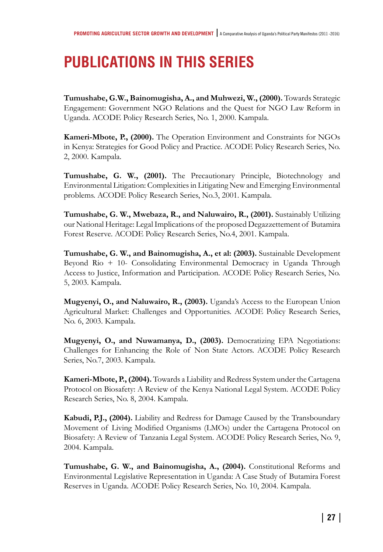# PUBLICATIONS IN THIS SERIES

**Tumushabe, G.W., Bainomugisha, A., and Muhwezi, W., (2000).** Towards Strategic Engagement: Government NGO Relations and the Quest for NGO Law Reform in Uganda. ACODE Policy Research Series, No. 1, 2000. Kampala.

**Kameri-Mbote, P., (2000).** The Operation Environment and Constraints for NGOs in Kenya: Strategies for Good Policy and Practice. ACODE Policy Research Series, No. 2, 2000. Kampala.

**Tumushabe, G. W., (2001).** The Precautionary Principle, Biotechnology and Environmental Litigation: Complexities in Litigating New and Emerging Environmental problems. ACODE Policy Research Series, No.3, 2001. Kampala.

**Tumushabe, G. W., Mwebaza, R., and Naluwairo, R., (2001).** Sustainably Utilizing our National Heritage: Legal Implications of the proposed Degazzettement of Butamira Forest Reserve. ACODE Policy Research Series, No.4, 2001. Kampala.

**Tumushabe, G. W., and Bainomugisha, A., et al: (2003).** Sustainable Development Beyond Rio + 10- Consolidating Environmental Democracy in Uganda Through Access to Justice, Information and Participation. ACODE Policy Research Series, No. 5, 2003. Kampala.

**Mugyenyi, O., and Naluwairo, R., (2003).** Uganda's Access to the European Union Agricultural Market: Challenges and Opportunities. ACODE Policy Research Series, No. 6, 2003. Kampala.

**Mugyenyi, O., and Nuwamanya, D., (2003).** Democratizing EPA Negotiations: Challenges for Enhancing the Role of Non State Actors. ACODE Policy Research Series, No.7, 2003. Kampala.

**Kameri-Mbote, P., (2004).** Towards a Liability and Redress System under the Cartagena Protocol on Biosafety: A Review of the Kenya National Legal System. ACODE Policy Research Series, No. 8, 2004. Kampala.

**Kabudi, P.J., (2004).** Liability and Redress for Damage Caused by the Transboundary Movement of Living Modified Organisms (LMOs) under the Cartagena Protocol on Biosafety: A Review of Tanzania Legal System. ACODE Policy Research Series, No. 9, 2004. Kampala.

**Tumushabe, G. W., and Bainomugisha, A., (2004).** Constitutional Reforms and Environmental Legislative Representation in Uganda: A Case Study of Butamira Forest Reserves in Uganda. ACODE Policy Research Series, No. 10, 2004. Kampala.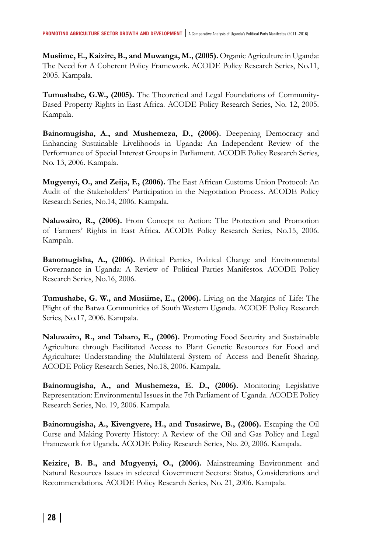**Musiime, E., Kaizire, B., and Muwanga, M., (2005).** Organic Agriculture in Uganda: The Need for A Coherent Policy Framework. ACODE Policy Research Series, No.11, 2005. Kampala.

**Tumushabe, G.W., (2005).** The Theoretical and Legal Foundations of Community-Based Property Rights in East Africa. ACODE Policy Research Series, No. 12, 2005. Kampala.

**Bainomugisha, A., and Mushemeza, D., (2006).** Deepening Democracy and Enhancing Sustainable Livelihoods in Uganda: An Independent Review of the Performance of Special Interest Groups in Parliament. ACODE Policy Research Series, No. 13, 2006. Kampala.

**Mugyenyi, O., and Zeija, F., (2006).** The East African Customs Union Protocol: An Audit of the Stakeholders' Participation in the Negotiation Process. ACODE Policy Research Series, No.14, 2006. Kampala.

**Naluwairo, R., (2006).** From Concept to Action: The Protection and Promotion of Farmers' Rights in East Africa. ACODE Policy Research Series, No.15, 2006. Kampala.

**Banomugisha, A., (2006).** Political Parties, Political Change and Environmental Governance in Uganda: A Review of Political Parties Manifestos. ACODE Policy Research Series, No.16, 2006.

**Tumushabe, G. W., and Musiime, E., (2006).** Living on the Margins of Life: The Plight of the Batwa Communities of South Western Uganda. ACODE Policy Research Series, No.17, 2006. Kampala.

**Naluwairo, R., and Tabaro, E., (2006).** Promoting Food Security and Sustainable Agriculture through Facilitated Access to Plant Genetic Resources for Food and Agriculture: Understanding the Multilateral System of Access and Benefit Sharing. ACODE Policy Research Series, No.18, 2006. Kampala.

**Bainomugisha, A., and Mushemeza, E. D., (2006).** Monitoring Legislative Representation: Environmental Issues in the 7th Parliament of Uganda. ACODE Policy Research Series, No. 19, 2006. Kampala.

**Bainomugisha, A., Kivengyere, H., and Tusasirwe, B., (2006).** Escaping the Oil Curse and Making Poverty History: A Review of the Oil and Gas Policy and Legal Framework for Uganda. ACODE Policy Research Series, No. 20, 2006. Kampala.

**Keizire, B. B., and Mugyenyi, O., (2006).** Mainstreaming Environment and Natural Resources Issues in selected Government Sectors: Status, Considerations and Recommendations. ACODE Policy Research Series, No. 21, 2006. Kampala.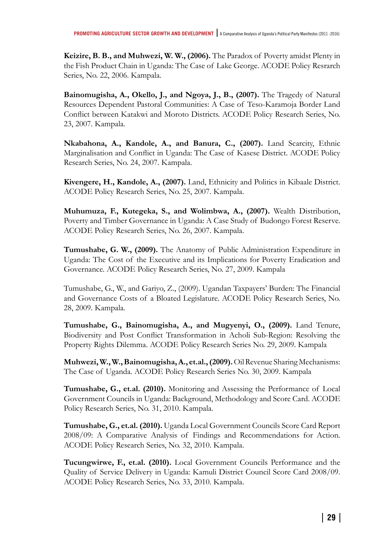**Keizire, B. B., and Muhwezi, W. W., (2006).** The Paradox of Poverty amidst Plenty in the Fish Product Chain in Uganda: The Case of Lake George. ACODE Policy Resrarch Series, No. 22, 2006. Kampala.

**Bainomugisha, A., Okello, J., and Ngoya, J., B., (2007).** The Tragedy of Natural Resources Dependent Pastoral Communities: A Case of Teso-Karamoja Border Land Conflict between Katakwi and Moroto Districts. ACODE Policy Research Series, No. 23, 2007. Kampala.

**Nkabahona, A., Kandole, A., and Banura, C., (2007).** Land Scarcity, Ethnic Marginalisation and Conflict in Uganda: The Case of Kasese District. ACODE Policy Research Series, No. 24, 2007. Kampala.

**Kivengere, H., Kandole, A., (2007).** Land, Ethnicity and Politics in Kibaale District. ACODE Policy Research Series, No. 25, 2007. Kampala.

**Muhumuza, F., Kutegeka, S., and Wolimbwa, A., (2007).** Wealth Distribution, Poverty and Timber Governance in Uganda: A Case Study of Budongo Forest Reserve. ACODE Policy Research Series, No. 26, 2007. Kampala.

**Tumushabe, G. W., (2009).** The Anatomy of Public Administration Expenditure in Uganda: The Cost of the Executive and its Implications for Poverty Eradication and Governance. ACODE Policy Research Series, No. 27, 2009. Kampala

Tumushabe, G., W., and Gariyo, Z., (2009). Ugandan Taxpayers' Burden: The Financial and Governance Costs of a Bloated Legislature. ACODE Policy Research Series, No. 28, 2009. Kampala.

**Tumushabe, G., Bainomugisha, A., and Mugyenyi, O., (2009).** Land Tenure, Biodiversity and Post Conflict Transformation in Acholi Sub-Region: Resolving the Property Rights Dilemma. ACODE Policy Research Series No. 29, 2009. Kampala

**Muhwezi, W., W., Bainomugisha, A., et.al., (2009).** Oil Revenue Sharing Mechanisms: The Case of Uganda. ACODE Policy Research Series No. 30, 2009. Kampala

**Tumushabe, G., et.al. (2010).** Monitoring and Assessing the Performance of Local Government Councils in Uganda: Background, Methodology and Score Card. ACODE Policy Research Series, No. 31, 2010. Kampala.

**Tumushabe, G., et.al. (2010).** Uganda Local Government Councils Score Card Report 2008/09: A Comparative Analysis of Findings and Recommendations for Action. ACODE Policy Research Series, No. 32, 2010. Kampala.

**Tucungwirwe, F., et.al. (2010).** Local Government Councils Performance and the Quality of Service Delivery in Uganda: Kamuli District Council Score Card 2008/09. ACODE Policy Research Series, No. 33, 2010. Kampala.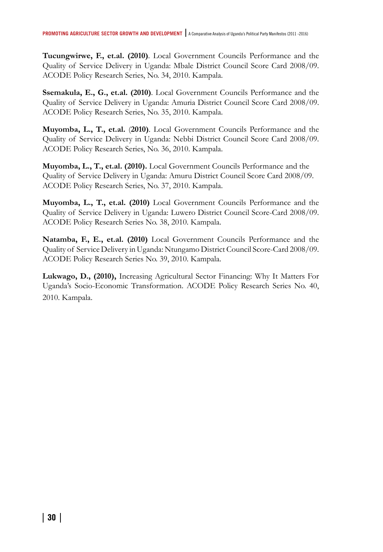**Tucungwirwe, F., et.al. (2010)**. Local Government Councils Performance and the Quality of Service Delivery in Uganda: Mbale District Council Score Card 2008/09. ACODE Policy Research Series, No. 34, 2010. Kampala.

**Ssemakula, E., G., et.al. (2010)**. Local Government Councils Performance and the Quality of Service Delivery in Uganda: Amuria District Council Score Card 2008/09. ACODE Policy Research Series, No. 35, 2010. Kampala.

**Muyomba, L., T., et.al.** (**2010)**. Local Government Councils Performance and the Quality of Service Delivery in Uganda: Nebbi District Council Score Card 2008/09. ACODE Policy Research Series, No. 36, 2010. Kampala.

**Muyomba, L., T., et.al. (2010).** Local Government Councils Performance and the Quality of Service Delivery in Uganda: Amuru District Council Score Card 2008/09. ACODE Policy Research Series, No. 37, 2010. Kampala.

**Muyomba, L., T., et.al. (2010)** Local Government Councils Performance and the Quality of Service Delivery in Uganda: Luwero District Council Score-Card 2008/09. ACODE Policy Research Series No. 38, 2010. Kampala.

**Natamba, F., E., et.al. (2010)** Local Government Councils Performance and the Quality of Service Delivery in Uganda: Ntungamo District Council Score-Card 2008/09. ACODE Policy Research Series No. 39, 2010. Kampala.

**Lukwago, D., (2010),** Increasing Agricultural Sector Financing: Why It Matters For Uganda's Socio-Economic Transformation. ACODE Policy Research Series No. 40, 2010. Kampala.